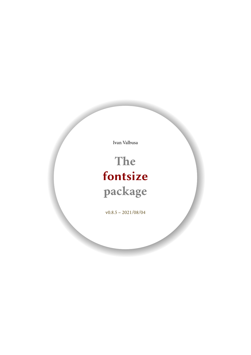Ivan Valbusa

# **The** fontsize **package**

 $v0.8.5 - 2021/08/04$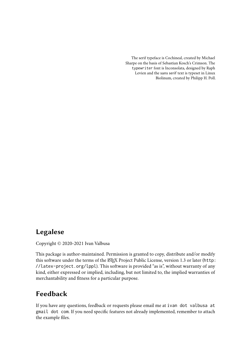The serif typeface is Cochineal, created by Michael Sharpe on the basis of Sebastian Kosch's Crimson. The typewriter font is Inconsolata, designed by Raph Levien and the sans serif text is typeset in Linux Biolinum, created by Philipp H. Poll.

### Legalese

Copyright © 2020-2021 Ivan Valbusa

This package is author-maintained. Permission is granted to copy, distribute and/or modify this software under the terms of the ETEX Project Public License, version 1.3 or later ([http:](http://latex-project.org/lppl) [//latex-project.org/lppl](http://latex-project.org/lppl)). This software is provided "as is", without warranty of any kind, either expressed or implied, including, but not limited to, the implied warranties of merchantability and fitness for a particular purpose.

### Feedback

If you have any questions, feedback or requests please email me at ivan dot valbusa at gmail dot com. If you need specific features not already implemented, remember to attach the example files.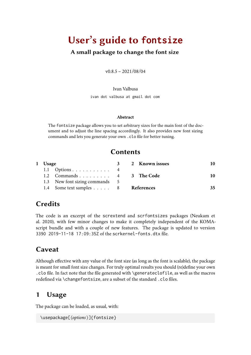# User's guide to **fontsize**

### A small package to change the font size

 $v0.8.5 - 2021/08/04$ 

Ivan Valbusa

ivan dot valbusa at gmail dot com

### **Abstract**

The fontsize package allows you to set arbitrary sizes for the main font of the document and to adjust the line spacing accordingly. It also provides new font sizing commands and lets you generate your own .clo file for better tuning.

### **Contents**

| 1 Usage |                                |  | 3 2 Known issues | 10. |
|---------|--------------------------------|--|------------------|-----|
|         | 1.1 Options 4                  |  |                  |     |
|         | 1.2 Commands 4 3 The Code      |  |                  | 10  |
|         | 1.3 New font sizing commands 5 |  |                  |     |
|         | 1.4 Some text samples 8        |  | References       | 35  |

### **Credits**

The code is an excerpt of the scrextend and scrfontsizes packages [\(Neukam et](#page-34-1) [al. 2020\)](#page-34-1), with few minor changes to make it completely independent of the KOMAscript bundle and with a couple of new features. The package is updated to version 3390 2019-11-18 17:09:35Z of the scrkernel-fonts.dtx file.

### Caveat

Although effective with any value of the font size (as long as the font is scalable), the package is meant for small font size changes. For truly optimal results you should (re)define your own .clo file. In fact note that the file generated with \generateclofile, as well as the macros redefined via \changefontsize, are a subset of the standard .clo files.

### <span id="page-2-0"></span>1 Usage

The package can be loaded, as usual, with:

```
\usepackage[⟨options⟩]{fontsize}
```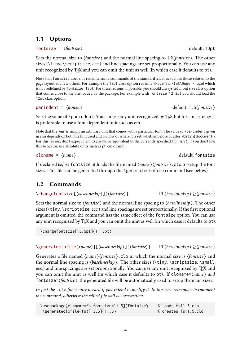### <span id="page-3-0"></span>1.1 Options

### fontsize =  $\langle$ *fontsize* $\rangle$

Sets the normal size to ⟨*fontsize*⟩ and the normal line spacing to 1.2⟨*fontsize*⟩. The other sizes (\tiny, \scriptsize, ecc.) and line spacings are set proportionally. You can use any unit recognized by TEX and you can omit the unit as well (in which case it defaults to pt).

Note that fontsize does not redefine some commands of the standard *.clo* files such as those related to the page layout and few others. For example the 12pt class option redefine \Huge (via \let\Huge=\huge) which is not redefined by fontsize=12pt. For these reasons, if possible, you should always set a font size class option that comes close to the one loaded by the package. For example with fontsize=12.2pt you should load the 12pt class option.

parindent =  $\langle$ *dimen* $\rangle$ 

Sets the value of \parindent. You can use any unit recognized by TEX but for consistency it is preferable to use a font-dependent unit such as em.

Note that the "em" is simply an arbitrary unit that comes with a particular font. The value of \parindent given in ems depends on both the font used and on how or where it is set: whether before or after \begin{document}. For this reason, don't expect 1 em to always be equivalent to the currently specified ⟨*fontsize*⟩. If you don't like this behavior, use absolute units such as pt, cm or mm.

cloname =  $\langle name \rangle$ 

If declared *before* fontsize, it loads the file named ⟨*name*⟩⟨*fontsize*⟩.clo to setup the font sizes. This file can be generated through the \generateclofile command (see below).

### <span id="page-3-1"></span>1.2 Commands

\changefontsize[⟨*baselineskip*⟩]{⟨*fontsize*⟩} iff ⟨*baselineskip* ⟩ ≥⟨*fontsize*⟩

Sets the normal size to ⟨*fontsize*⟩ and the normal line spacing to ⟨*baselineskip* ⟩. The other sizes (\tiny, \scriptsize, ecc.) and line spacings are set proportionally. If the first optional argument is omitted, the command has the same effect of the fontsize option. You can use any unit recognized by  $T_F X$  and you can omit the unit as well (in which case it defaults to  $pt$ ).

```
\changefontsize[13.5pt]{11.5pt}
```

```
\generateclofile{⟨name⟩}[⟨baselineskip⟩]{⟨fontsize⟩} iff ⟨baselineskip ⟩ ≥⟨fontsize⟩
```
Generates a file named ⟨*name*⟩⟨*fontsize*⟩.clo in which the normal size is ⟨*fontsize*⟩ and the normal line spacing is  $\langle baselineskip \rangle$ . The other sizes (\tiny, \scriptsize, \small, ecc.) and line spacings are set proportionally. You can use any unit recognized by T<sub>E</sub>X and you can omit the unit as well (in which case it defaults to pt). If cloname=⟨*name*⟩ *and* fontsize=⟨*fontsize*⟩, the generated file will be automatically used to setup the main sizes.

*In fact the* .clo *file is only needed if you intend to modify it. In this case remember to comment the command, otherwise the edited file will be overwritten.*

| \usepackage[cloname=fs,fontsize=11.5]{fontsize} | % loads fs11.5.clo   |
|-------------------------------------------------|----------------------|
| $\generateclofile{fs}[13.5]{11.5}$              | % creates fs11.5.clo |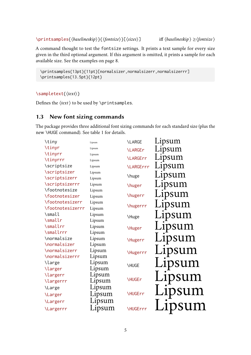\printsamples{⟨*baselineskip*⟩}{⟨*fontsize*⟩}[⟨*sizes*⟩] iff ⟨*baselineskip* ⟩ ≥⟨*fontsize*⟩

A command thought to test the fontsize settings. It prints a text sample for every size given in the third optional argument. If this argument is omitted, it prints a sample for each available size. See the examples on page [8.](#page-7-0)

```
\printsamples{13pt}{11pt}[normalsizer,normalsizerr,normalsizerrr]
\printsamples{13.5pt}{12pt}
```
### \sampletext{⟨*text*⟩}

Defines the ⟨*text*⟩ to be used by \printsamples.

### <span id="page-4-0"></span>1.3 New font sizing commands

The package provides three additional font sizing commands for each standard size (plus the new \HUGE command). See table [1](#page-5-0) for details.

| \tiny                          | Lipsum | <b>\LARGE</b>    | Lipsum        |
|--------------------------------|--------|------------------|---------------|
| \tinyr                         | Lipsum | <b>\LARGEr</b>   | Lipsum        |
| \tinyrr                        | Lipsum | <b>\LARGErr</b>  | Lipsum        |
| \tinyrrr                       | Lipsum |                  |               |
| \scriptsize                    | Lipsum | <b>\LARGErrr</b> | Lipsum        |
| \scriptsizer                   | Lipsum |                  | Lipsum        |
| \scriptsizerr                  | Lipsum | \huge            |               |
| \scriptsizerrr                 | Lipsum | <b>\huger</b>    | Lipsum        |
| \footnotesize                  | Lipsum |                  |               |
| \footnotesizer                 | Lipsum | <b>\hugerr</b>   | Lipsum        |
| \footnotesizerr                | Lipsum | <b>\hugerrr</b>  | Lipsum        |
| <i><b>\footnotesizerrr</b></i> | Lipsum |                  |               |
| \small                         | Lipsum | \Huge            | Lipsum        |
| \smallr                        | Lipsum |                  |               |
| \smallrr                       | Lipsum | <b>\Huger</b>    | Lipsum        |
| \smallrrr                      | Lipsum |                  |               |
| \normalsize                    | Lipsum | <b>Hugerr</b>    | Lipsum        |
| \normalsizer                   | Lipsum |                  |               |
| \normalsizerr                  | Lipsum | <b>\Hugerrr</b>  | Lipsum        |
| \normalsizerrr                 | Lipsum |                  |               |
| \large                         | Lipsum | <b>\HUGE</b>     | ipsum         |
| <i><b>\larger</b></i>          | Lipsum |                  |               |
| <i><b>\largerr</b></i>         | Lipsum |                  | <b>Lipsum</b> |
| <i><b>\largerrr</b></i>        | Lipsum | <b>\HUGEr</b>    |               |
| \Large                         | Lipsum |                  |               |
| <b>\Larger</b>                 | ipsum  | <b>\HUGErr</b>   | psum          |
| <b>\Largerr</b>                | ipsum  |                  |               |
| <b>\Largerrr</b>               | 1psum  | <b>\HUGErrr</b>  |               |
|                                |        |                  |               |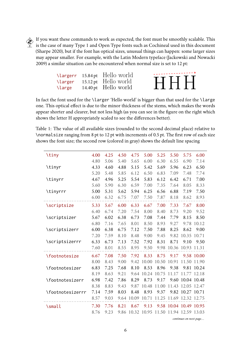If you want these commands to work as expected, the font must be smoothly scalable. This is the case of many Type 1 and Open Type  $f$ is the case of many Type 1 and Open Type fonts such as Cochineal used in this document [\(Sharpe 2020\)](#page-34-2), but if the font has optical sizes, unusual things can happen: some larger sizes may appear smaller. For example, with the Latin Modern typeface [\(Jackowski and Nowacki](#page-34-3) [2009\)](#page-34-3) a similar situation can be encountered when normal size is set to 12 pt:

| <i><b>\largerr</b></i> | 15.84 pt | Hello world                    |
|------------------------|----------|--------------------------------|
| <i><b>\larger</b></i>  |          | $15.12 \text{ pt}$ Hello world |
| \large                 |          | 14.40 pt Hello world           |



In fact the font used for the \larger 'Hello world' is bigger than that used for the \large one. This optical effect is due to the minor thickness of the stems, which makes the words appear shorter and clearer, but not less high (as you can see in the figure on the right which shows the letter H appropriately scaled to see the differences better).

<span id="page-5-0"></span>Table 1: The value of all available sizes (rounded to the second decimal place) relative to \normalsize ranging from 8 pt to 12 pt with increments of 0.5 pt. The first row of each size shows the font size; the second row (colored in gray) shows the default line spacing

| \tiny                              | 4.00 | 4.25 | 4.50 | 4.75  | 5.00  | 5.25  | 5.50  | 5.75        | 6.00  |
|------------------------------------|------|------|------|-------|-------|-------|-------|-------------|-------|
|                                    | 4.80 | 5.06 | 5.40 | 5.65  | 6.00  | 6.30  | 6.55  | 6.90        | 7.14  |
| \tinyr                             | 4.33 | 4.60 | 4.88 | 5.15  | 5.42  | 5.69  | 5.96  | 6.23        | 6.50  |
|                                    | 5.20 | 5.48 | 5.85 | 6.12  | 6.50  | 6.83  | 7.09  | 7.48        | 7.74  |
| \tinyrr                            | 4.67 | 4.96 | 5.25 | 5.54  | 5.83  | 6.12  | 6.42  | 6.71        | 7.00  |
|                                    | 5.60 | 5.90 | 6.30 | 6.59  | 7.00  | 7.35  | 7.64  | 8.05        | 8.33  |
| \tinyrrr                           | 5.00 | 5.31 | 5.62 | 5.94  | 6.25  | 6.56  | 6.88  | 7.19        | 7.50  |
|                                    | 6.00 | 6.32 | 6.75 | 7.07  | 7.50  | 7.87  | 8.18  | 8.62        | 8.93  |
| \scriptsize                        | 5.33 | 5.67 | 6.00 | 6.33  | 6.67  | 7.00  | 7.33  | 7.67        | 8.00  |
|                                    | 6.40 | 6.74 | 7.20 | 7.54  | 8.00  | 8.40  | 8.73  | 9.20        | 9.52  |
| \scriptsizer                       | 5.67 | 6.02 | 6.38 | 6.73  | 7.08  | 7.44  | 7.79  | 8.15        | 8.50  |
|                                    | 6.80 | 7.16 | 7.65 | 8.01  | 8.50  | 8.93  | 9.27  | 9.78        | 10.12 |
| \scriptsizerr                      | 6.00 | 6.38 | 6.75 | 7.12  | 7.50  | 7.88  | 8.25  | 8.62        | 9.00  |
|                                    | 7.20 | 7.59 | 8.10 | 8.48  | 9.00  | 9.45  | 9.82  | 10.35       | 10.71 |
| \scriptsizerrr                     | 6.33 | 6.73 | 7.13 | 7.52  | 7.92  | 8.31  | 8.71  | 9.10        | 9.50  |
|                                    | 7.60 | 8.01 | 8.55 | 8.95  | 9.50  | 9.98  | 10.36 | 10.93       | 11.31 |
| <i><u><b>\footnotesize</b></u></i> | 6.67 | 7.08 | 7.50 | 7.92  | 8.33  | 8.75  | 9.17  | 9.58        | 10.00 |
|                                    | 8.00 | 8.43 | 9.00 | 9.42  | 10.00 | 10.50 | 10.91 | 11.50       | 11.90 |
| \footnotesizer                     | 6.83 | 7.25 | 7.68 | 8.10  | 8.53  | 8.96  | 9.38  | 9.81        | 10.24 |
|                                    | 8.19 | 8.63 | 9.21 | 9.64  | 10.24 | 10.75 | 11.17 | 11.77 12.18 |       |
| \footnotesizerr                    | 6.98 | 7.42 | 7.86 | 8.29  | 8.73  | 9.17  | 9.60  | 10.04       | 10.48 |
|                                    | 8.38 | 8.83 | 9.43 | 9.87  | 10.48 | 11.00 | 11.43 | 12.05       | 12.47 |
| \footnotesizerrr                   | 7.14 | 7.59 | 8.03 | 8.48  | 8.93  | 9.37  | 9.82  | 10.27       | 10.71 |
|                                    | 8.57 | 9.03 | 9.64 | 10.09 | 10.71 | 11.25 |       | 11.69 12.32 | 12.75 |
| \small                             | 7.30 | 7.76 | 8.21 | 8.67  | 9.13  | 9.58  | 10.04 | 10.49       | 10.95 |
|                                    | 8.76 | 9.23 | 9.86 | 10.32 | 10.95 | 11.50 |       | 11.94 12.59 | 13.03 |

*continues on next page. . .*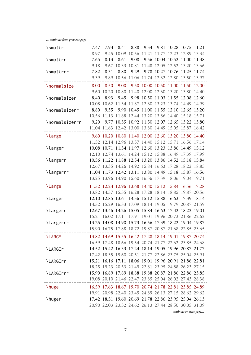| \smallr          | 7.47                                                                                                           | 7.94         | 8.41          | 8.88          | 9.34                                                 |  | 9.81 10.28 10.75 11.21        |  |
|------------------|----------------------------------------------------------------------------------------------------------------|--------------|---------------|---------------|------------------------------------------------------|--|-------------------------------|--|
| \smallrr         | 8.97<br>7.65                                                                                                   | 9.45<br>8.13 | 10.09<br>8.61 | 10.56<br>9.08 | 11.21 11.77 12.23 12.89 13.34                        |  | 9.56 10.04 10.52 11.00 11.48  |  |
|                  | 9.18                                                                                                           | 9.67         | 10.33         | 10.81         |                                                      |  | 11.48 12.05 12.52 13.20 13.66 |  |
| \smallrrr        | 7.82                                                                                                           | 8.31         | 8.80          | 9.29          |                                                      |  | 9.78 10.27 10.76 11.25 11.74  |  |
|                  | 9.39                                                                                                           | 9.89         |               |               | 10.56 11.06 11.74 12.32 12.80 13.50 13.97            |  |                               |  |
| \normalsize      | 8.00                                                                                                           | 8.50         | 9.00          |               | 9.50 10.00 10.50 11.00 11.50 12.00                   |  |                               |  |
|                  | 9.60                                                                                                           | 10.20        |               |               | 10.80 11.40 12.00 12.60 13.20 13.80 14.40            |  |                               |  |
| \normalsizer     | 8.40                                                                                                           | 8.93         | 9.45          |               | 9.98 10.50 11.03 11.55 12.08 12.60                   |  |                               |  |
|                  | 10.08                                                                                                          | 10.62        |               |               | 11.34 11.87 12.60 13.23 13.74 14.49 14.99            |  |                               |  |
| \normalsizerr    | 8.80                                                                                                           | 9.35         | 9.90          |               | 10.45 11.00 11.55 12.10 12.65 13.20                  |  |                               |  |
|                  | 10.56                                                                                                          | 11.13        |               |               | 11.88 12.44 13.20 13.86 14.40 15.18 15.71            |  |                               |  |
| \normalsizerrr   | 9.20                                                                                                           | 9.77         |               |               | 10.35 10.92 11.50 12.07 12.65 13.22 13.80            |  |                               |  |
|                  | 11.04 11.63 12.42 13.00 13.80 14.49 15.05 15.87 16.42                                                          |              |               |               |                                                      |  |                               |  |
| \large           |                                                                                                                |              |               |               | 9.60 10.20 10.80 11.40 12.00 12.60 13.20 13.80 14.40 |  |                               |  |
|                  | 11.52 12.14 12.96 13.57 14.40 15.12 15.71 16.56 17.14                                                          |              |               |               |                                                      |  |                               |  |
| <b>\larger</b>   | 10.08 10.71 11.34 11.97 12.60 13.23 13.86 14.49 15.12                                                          |              |               |               |                                                      |  |                               |  |
|                  | 12.10 12.74 13.61 14.24 15.12 15.88 16.49 17.39 17.99                                                          |              |               |               |                                                      |  |                               |  |
| <b>\largerr</b>  | 10.56 11.22 11.88 12.54 13.20 13.86 14.52 15.18 15.84                                                          |              |               |               |                                                      |  |                               |  |
|                  | 12.67 13.35 14.26 14.92 15.84 16.63 17.28 18.22 18.85                                                          |              |               |               |                                                      |  |                               |  |
| <b>\largerrr</b> | 11.04 11.73 12.42 13.11 13.80 14.49 15.18 15.87 16.56                                                          |              |               |               |                                                      |  |                               |  |
|                  | 13.25 13.96 14.90 15.60 16.56 17.39 18.06 19.04 19.71                                                          |              |               |               |                                                      |  |                               |  |
| \Large           | 11.52 12.24 12.96 13.68 14.40 15.12 15.84 16.56 17.28                                                          |              |               |               |                                                      |  |                               |  |
|                  | 13.82 14.57 15.55 16.28 17.28 18.14 18.85 19.87 20.56                                                          |              |               |               |                                                      |  |                               |  |
| <b>\Larger</b>   | 12.10                                                                                                          |              |               |               | 12.85 13.61 14.36 15.12 15.88 16.63 17.39 18.14      |  |                               |  |
|                  | 14.52 15.29 16.33 17.09 18.14 19.05 19.79 20.87 21.59                                                          |              |               |               |                                                      |  |                               |  |
| <b>\Largerr</b>  | 12.67 13.46 14.26 15.05 15.84 16.63 17.42 18.22 19.01                                                          |              |               |               |                                                      |  |                               |  |
|                  | 15.21                                                                                                          |              |               |               | 16.02 17.11 17.91 19.01 19.96 20.73 21.86 22.62      |  |                               |  |
| <b>\Largerrr</b> | 13.25                                                                                                          |              |               |               | 14.08 14.90 15.73 16.56 17.39 18.22 19.04 19.87      |  |                               |  |
|                  | 15.90 16.75 17.88 18.72 19.87 20.87 21.68 22.85 23.65                                                          |              |               |               |                                                      |  |                               |  |
| <b>LARGE</b>     | 13.82 14.69 15.55 16.42 17.28 18.14 19.01 19.87 20.74                                                          |              |               |               |                                                      |  |                               |  |
|                  | 16.59 17.48 18.66 19.54 20.74 21.77 22.62 23.85 24.68                                                          |              |               |               |                                                      |  |                               |  |
| <b>\LARGEr</b>   | 14.52 15.42 16.33 17.24 18.14 19.05 19.96 20.87 21.77                                                          |              |               |               |                                                      |  |                               |  |
|                  | 17.42 18.35 19.60 20.51 21.77 22.86 23.75 25.04 25.91<br>15.21 16.16 17.11 18.06 19.01 19.96 20.91 21.86 22.81 |              |               |               |                                                      |  |                               |  |
| <b>\LARGErr</b>  | 18.25 19.23 20.53 21.49 22.81 23.95 24.88 26.23 27.15                                                          |              |               |               |                                                      |  |                               |  |
| <b>\LARGErrr</b> | 15.90 16.89 17.89 18.88 19.88 20.87 21.86 22.86 23.85                                                          |              |               |               |                                                      |  |                               |  |
|                  | 19.08 20.10 21.46 22.47 23.85 25.04 26.02 27.43 28.38                                                          |              |               |               |                                                      |  |                               |  |
|                  |                                                                                                                |              |               |               |                                                      |  |                               |  |
| <b>\huge</b>     | 16.59 17.63 18.67 19.70 20.74 21.78 22.81 23.85 24.89<br>19.91 20.98 22.40 23.45 24.89 26.13 27.15 28.62 29.62 |              |               |               |                                                      |  |                               |  |
| \huger           | 17.42 18.51 19.60 20.69 21.78 22.86 23.95 25.04 26.13                                                          |              |               |               |                                                      |  |                               |  |
|                  | 20.90 22.03 23.52 24.62 26.13 27.44 28.50 30.05 31.09                                                          |              |               |               |                                                      |  |                               |  |
|                  |                                                                                                                |              |               |               |                                                      |  |                               |  |

*. . . continues from previous page*

*continues on next page. . .*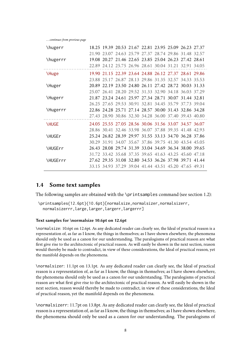| \hugerr         | 18.25 19.39 20.53 21.67 22.81 23.95 25.09 26.23 27.37 |       |       |                                                 |       |       |       |
|-----------------|-------------------------------------------------------|-------|-------|-------------------------------------------------|-------|-------|-------|
|                 | 2.1.90                                                |       |       | 23.07 24.63 25.79 27.37 28.74 29.86             |       | 31.48 | 32.57 |
| \hugerrr        | 19.08                                                 |       |       | 20.27 21.46 22.65 23.85 25.04 26.23 27.42 28.61 |       |       |       |
|                 | 22.89 24.12 25.75 26.96 28.61 30.04 31.21 32.91 34.05 |       |       |                                                 |       |       |       |
| <b>\Huge</b>    | 19.90 21.15 22.39 23.64 24.88 26.12 27.37 28.61 29.86 |       |       |                                                 |       |       |       |
|                 | 23.88 25.17 26.87 28.13 29.86 31.35 32.57 34.33       |       |       |                                                 |       |       | 35.53 |
| \Huger          | 20.89                                                 |       |       | 22.19 23.50 24.80 26.11 27.42 28.72 30.03       |       |       | 31.33 |
|                 | 25.07                                                 | 26.41 | 28.20 | 29.52 31.33 32.90                               | 34.18 | 36.03 | 37.29 |
| <b>\Hugerr</b>  | 21.87                                                 |       |       | 23.24 24.61 25.97 27.34 28.71                   | 30.07 | 31.44 | 32.81 |
|                 | 26.25 27.65 29.53 30.91 32.81 34.45 35.79             |       |       |                                                 |       | 37.73 | 39.Q4 |
| <b>\Hugerrr</b> | 22.86 24.28 25.71 27.14 28.57 30.00 31.43 32.86 34.28 |       |       |                                                 |       |       |       |
|                 | 27.43 28.90 30.86 32.30 34.28 36.00 37.40 39.43 40.80 |       |       |                                                 |       |       |       |
| <b>NUGE</b>     | 24.05 25.55 27.05 28.56 30.06 31.56 33.07 34.57 36.07 |       |       |                                                 |       |       |       |
|                 | 28.86 30.41                                           |       |       | 32.46 33.98 36.07 37.88 39.35 41.48 42.93       |       |       |       |
| <b>\HUGEr</b>   | 25.24 26.82 28.39                                     |       |       | 29.97 31.55 33.13 34.70 36.28 37.86             |       |       |       |
|                 | 30.29                                                 | 31.91 |       | 34.07 35.67 37.86 39.75                         | 41.30 | 43.54 | 45.05 |
| <b>\HUGErr</b>  | 26.43 28.08 29.74 31.39 33.04 34.69 36.34 38.00 39.65 |       |       |                                                 |       |       |       |
|                 | 31.72 33.42 35.68 37.35 39.65 41.63 43.25 45.60 47.18 |       |       |                                                 |       |       |       |
| <b>\HUGErrr</b> | 27.62                                                 | 29.35 |       | 31.08 32.80 34.53 36.26 37.98 39.71             |       |       | 41.44 |
|                 | 33.15                                                 | 34.93 | 37.29 | 39.04 41.44 43.51 45.20                         |       | 47.65 | 49.31 |

### <span id="page-7-0"></span>1.4 Some text samples

*. . . continues from previous page*

The following samples are obtained with the \printsamples command (see section [1.2\)](#page-3-1):

```
\printsamples{12.6pt}{10.6pt}[normalsize,normalsizer,normalsizerr,
 normalsizerrr,large,larger,largerr,largerrr]
```
#### Text samples for \normalsize 10.6pt on 12.6pt

\normalsize: 10.6pt on 12.6pt. As any dedicated reader can clearly see, the Ideal of practical reason is a representation of, as far as I know, the things in themselves; as I have shown elsewhere, the phenomena should only be used as a canon for our understanding. The paralogisms of practical reason are what first give rise to the architectonic of practical reason. As will easily be shown in the next section, reason would thereby be made to contradict, in view of these considerations, the Ideal of practical reason, yet the manifold depends on the phenomena.

\normalsizer: 11.1pt on 13.1pt. As any dedicated reader can clearly see, the Ideal of practical reason is a representation of, as far as I know, the things in themselves; as I have shown elsewhere, the phenomena should only be used as a canon for our understanding. The paralogisms of practical reason are what first give rise to the architectonic of practical reason. As will easily be shown in the next section, reason would thereby be made to contradict, in view of these considerations, the Ideal of practical reason, yet the manifold depends on the phenomena.

\normalsizerr: 11.7pt on 13.8pt. As any dedicated reader can clearly see, the Ideal of practical reason is a representation of, as far as I know, the things in themselves; as I have shown elsewhere, the phenomena should only be used as a canon for our understanding. The paralogisms of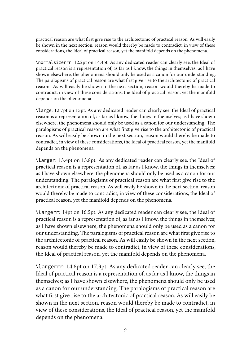practical reason are what first give rise to the architectonic of practical reason. As will easily be shown in the next section, reason would thereby be made to contradict, in view of these considerations, the Ideal of practical reason, yet the manifold depends on the phenomena.

\normalsizerrr: 12.2pt on 14.4pt. As any dedicated reader can clearly see, the Ideal of practical reason is a representation of, as far as I know, the things in themselves; as I have shown elsewhere, the phenomena should only be used as a canon for our understanding. The paralogisms of practical reason are what first give rise to the architectonic of practical reason. As will easily be shown in the next section, reason would thereby be made to contradict, in view of these considerations, the Ideal of practical reason, yet the manifold depends on the phenomena.

\large: 12.7pt on 15pt. As any dedicated reader can clearly see, the Ideal of practical reason is a representation of, as far as I know, the things in themselves; as I have shown elsewhere, the phenomena should only be used as a canon for our understanding. The paralogisms of practical reason are what first give rise to the architectonic of practical reason. As will easily be shown in the next section, reason would thereby be made to contradict, in view of these considerations, the Ideal of practical reason, yet the manifold depends on the phenomena.

\larger: 13.4pt on 15.8pt. As any dedicated reader can clearly see, the Ideal of practical reason is a representation of, as far as I know, the things in themselves; as I have shown elsewhere, the phenomena should only be used as a canon for our understanding. The paralogisms of practical reason are what first give rise to the architectonic of practical reason. As will easily be shown in the next section, reason would thereby be made to contradict, in view of these considerations, the Ideal of practical reason, yet the manifold depends on the phenomena.

\largerr: 14pt on 16.5pt. As any dedicated reader can clearly see, the Ideal of practical reason is a representation of, as far as I know, the things in themselves; as I have shown elsewhere, the phenomena should only be used as a canon for our understanding. The paralogisms of practical reason are what first give rise to the architectonic of practical reason. As will easily be shown in the next section, reason would thereby be made to contradict, in view of these considerations, the Ideal of practical reason, yet the manifold depends on the phenomena.

\largerrr: 14.6pt on 17.3pt. As any dedicated reader can clearly see, the Ideal of practical reason is a representation of, as far as I know, the things in themselves; as I have shown elsewhere, the phenomena should only be used as a canon for our understanding. The paralogisms of practical reason are what first give rise to the architectonic of practical reason. As will easily be shown in the next section, reason would thereby be made to contradict, in view of these considerations, the Ideal of practical reason, yet the manifold depends on the phenomena.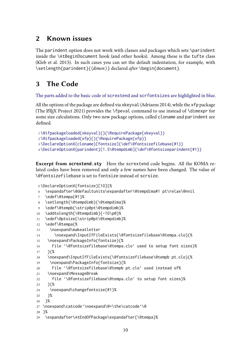### <span id="page-9-0"></span>2 Known issues

The parindent option does not work with classes and packages which sets \parindent inside the \AtBeginDocument hook (and other hooks). Among these is the tufte class [\(Kleb et al. 2015\)](#page-34-4). In such cases you can set the default indentation, for example, with \setlength{parindent}{⟨*dimen*⟩} declared *after* \begin{document}.

## <span id="page-9-1"></span>3 The Code

The parts added to the basic code of scrextend and scrfontsizes are highlighted in blue.

All the options of the package are defined via xkeyval [\(Adriaens 2014\)](#page-34-5), while the xfp package (The  $E$ F<sub>E</sub>X Project 2021) provides the \fpeval command to use instead of \dimexpr for some size calculations. Only two new package options, called cloname and parindent are defined.

```
1 \@ifpackageloaded{xkeyval}{}{\RequirePackage{xkeyval}}
2 \@ifpackageloaded{xfp}{}{\RequirePackage{xfp}}
3 \DeclareOptionX{cloname}[fontsize]{\def\@fontsizefilebase{#1}}
4 \DeclareOptionX{parindent}[1.5\@tempdimb]{\def\@fontsizeparindent{#1}}
```
Excerpt from **scrextend.sty** Here the scrextend code begins. All the KOMA related codes have been removed and only a few names have been changed. The value of \@fontsizefilebase is set to fontsize instead of scrsize.

```
5 \DeclareOptionX{fontsize}[10]{%
```

```
6 \expandafter\@defaultunits\expandafter\@tempdima#1 pt\relax\@nnil
```

```
7 \edef\@tempa{#1}%
```

```
8 \setlength{\@tempdimb}{\@tempdima}%
```

```
9 \edef\@tempb{\strip@pt\@tempdimb}%
```
\addtolength{\@tempdimb}{-10\p@}%

```
11 \edef\@ptsize{\strip@pt\@tempdimb}%
```
- \edef\@tempa{%
- 13 \noexpand\makeatletter

```
14 \noexpand\InputIfFileExists{\@fontsizefilebase\@tempa.clo}{%
```
\noexpand\PackageInfo{fontsize}{%

```
16 File '\@fontsizefilebase\@tempa.clo' used to setup font sizes}%
17 }{%
```

```
18 \noexpand\InputIfFileExists{\@fontsizefilebase\@tempb pt.clo}{%
19 \noexpand\PackageInfo{fontsize}{%
```

```
20 File '\@fontsizefilebase\@tempb pt.clo' used instead of%
```

```
21 \noexpand\MessageBreak
```

```
22 file '\@fontsizefilebase\@tempa.clo' to setup font sizes}%
```
}{%

```
24 \noexpand\changefontsize{#1}%
```
}%

```
26 }%
```

```
27 \noexpand\catcode'\noexpand\@=\the\catcode'\@
```

```
28 }%
```

```
29 \expandafter\AtEndOfPackage\expandafter{\@tempa}%
```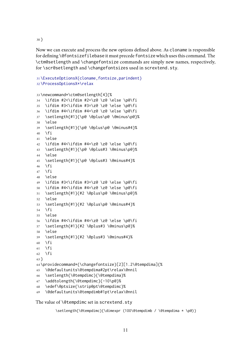}

Now we can execute and process the new options defined above. As cloname is responsible for defining \@fontsizefilebase it must precede fontsize which uses this command. The \ctm@setlength and \changefontsize commands are simply new names, respectively, for \scr@setlength and \changefontsizes used in scrextend.sty.

```
31 \ExecuteOptionsX{cloname, fontsize, parindent}
32 \ProcessOptionsX*\relax
```

```
33 \newcommand*\ctm@setlength[4]{%
34 \ifdim #2<\ifdim #2=\z@ \z@ \else \p@\fi
35 \ifdim #3<\ifdim #3=\z@ \z@ \else \p@\fi
36 \ifdim #4<\ifdim #4=\z@ \z@ \else \p@\fi
37 \setlength{#1}{\p@ \@plus\p@ \@minus\p@}%
38 \else
39 \setlength{#1}{\p@ \@plus\p@ \@minus#4}%
40 \fi
41 \else
42 \ifdim #4<\ifdim #4=\z@ \z@ \else \p@\fi
43 \setlength{#1}{\p@ \@plus#3 \@minus\p@}%
44 \else
45 \setlength{#1}{\p@ \@plus#3 \@minus#4}%
46 \fi
47 \quad \text{If}48 \else
49 \ifdim #3<\ifdim #3=\z@ \z@ \else \p@\fi
50 \ifdim #4<\ifdim #4=\z@ \z@ \else \p@\fi
51 \setlength{#1}{#2 \@plus\p@ \@minus\p@}%
52 \else
53 \setlength{#1}{#2 \@plus\p@ \@minus#4}%
54 \quad \text{If}55 \else
56 \ifdim #4<\ifdim #4=\z@ \z@ \else \p@\fi
57 \setlength{#1}{#2 \@plus#3 \@minus\p@}%
58 \else
59 \setlength{#1}{#2 \@plus#3 \@minus#4}%
60 \quad \text{If}61 \fi
62 \forallfi
63 }
64 \providecommand*{\changefontsize}[2][1.2\@tempdima]{%
65 \@defaultunits\@tempdima#2pt\relax\@nnil
66 \setlength{\@tempdimc}{\@tempdima}%
67 \addtolength{\@tempdimc}{-10\p@}%
68 \edef\@ptsize{\strip@pt\@tempdimc}%
69 \@defaultunits\@tempdimb#1pt\relax\@nnil
```
The value of \@tempdimc set in scrextend.sty

```
\setlength{\@tempdimc}{\dimexpr (100\@tempdimb / \@tempdima * \p@)}
```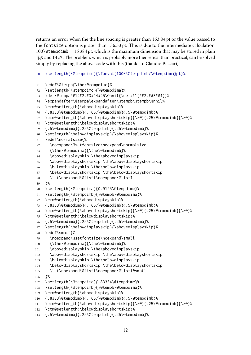returns an error when the the line spacing is greater than 163.84 pt or the value passed to the fontsize option is grater than 136.53 pt. This is due to the intermediate calculation:  $100\text{N}$  detempdimb = 16 384 pt, which is the maximum dimension that may be stored in plain TEX and ETEX. The problem, which is probably more theoretical than practical, can be solved simply by replacing the above code with this (thanks to Claudio Beccari):

#### \setlength{\@tempdimc}{\fpeval{100\*\@tempdimb/\@tempdima}pt}%

```
71 \edef\@tempb{\the\@tempdimc}%
```
- \setlength{\@tempdimc}{\@tempdima}%
- \def\@tempa##1##2##3##4##5\@nnil{\def##1{##2.##3##4}}%
- \expandafter\@tempa\expandafter\@tempb\@tempb\@nnil%
- \ctm@setlength{\abovedisplayskip}%
- {.8333\@tempdimb}{.1667\@tempdimb}{.5\@tempdimb}%
- \ctm@setlength{\abovedisplayshortskip}{\z@}{.25\@tempdimb}{\z@}%
- \ctm@setlength{\belowdisplayshortskip}%
- {.5\@tempdimb}{.25\@tempdimb}{.25\@tempdimb}%
- \setlength{\belowdisplayskip}{\abovedisplayskip}%
- \edef\normalsize{%
- \noexpand\@setfontsize\noexpand\normalsize
- {\the\@tempdima}{\the\@tempdimb}%
- \abovedisplayskip \the\abovedisplayskip
- 85 \abovedisplayshortskip \the\abovedisplayshortskip
- \belowdisplayskip \the\belowdisplayskip
- 87 \belowdisplayshortskip \the\belowdisplayshortskip
- \let\noexpand\@listi\noexpand\@listI
- }%
- \setlength{\@tempdima}{0.9125\@tempdimc}%
- \setlength{\@tempdimb}{\@tempb\@tempdima}%
- \ctm@setlength{\abovedisplayskip}%
- {.8333\@tempdimb}{.1667\@tempdimb}{.5\@tempdimb}%
- \ctm@setlength{\abovedisplayshortskip}{\z@}{.25\@tempdimb}{\z@}%
- \ctm@setlength{\belowdisplayshortskip}%
- {.5\@tempdimb}{.25\@tempdimb}{.25\@tempdimb}%
- \setlength{\belowdisplayskip}{\abovedisplayskip}%
- \edef\small{%
- \noexpand\@setfontsize\noexpand\small
- {\the\@tempdima}{\the\@tempdimb}%
- \abovedisplayskip \the\abovedisplayskip
- 102 \abovedisplayshortskip \the\abovedisplayshortskip
- \belowdisplayskip \the\belowdisplayskip
- \belowdisplayshortskip \the\belowdisplayshortskip
- \let\noexpand\@listi\noexpand\@listi@small
- }%
- \setlength{\@tempdima}{.83334\@tempdimc}%
- \setlength{\@tempdimb}{\@tempb\@tempdima}%
- \ctm@setlength{\abovedisplayskip}%
- {.8333\@tempdimb}{.1667\@tempdimb}{.5\@tempdimb}%
- \ctm@setlength{\abovedisplayshortskip}{\z@}{.25\@tempdimb}{\z@}%
- \ctm@setlength{\belowdisplayshortskip}%
- {.5\@tempdimb}{.25\@tempdimb}{.25\@tempdimb}%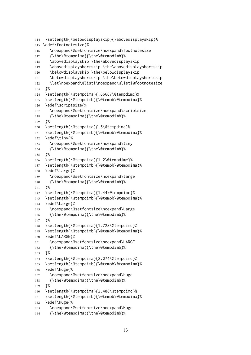```
114 \setlength{\belowdisplayskip}{\abovedisplayskip}%
115 \edef\footnotesize{%
116 \noexpand\@setfontsize\noexpand\footnotesize
117 {\the\@tempdima}{\the\@tempdimb}%
118 \abovedisplayskip \the\abovedisplayskip
119 \abovedisplayshortskip \the\abovedisplayshortskip
120 \belowdisplayskip \the\belowdisplayskip
121 \belowdisplayshortskip \the\belowdisplayshortskip
122 \let\noexpand\@listi\noexpand\@listi@footnotesize
123 }%
124 \setlength{\@tempdima}{.66667\@tempdimc}%
125 \setlength{\@tempdimb}{\@tempb\@tempdima}%
126 \edef\scriptsize{%
127 \noexpand\@setfontsize\noexpand\scriptsize
128 {\the\@tempdima}{\the\@tempdimb}%
129 }%
130 \setlength{\@tempdima}{.5\@tempdimc}%
131 \setlength{\@tempdimb}{\@tempb\@tempdima}%
132 \edef\tiny{%
133 \noexpand\@setfontsize\noexpand\tiny
134 {\the\@tempdima}{\the\@tempdimb}%
135 }%
136 \setlength{\@tempdima}{1.2\@tempdimc}%
137 \setlength{\@tempdimb}{\@tempb\@tempdima}%
138 \edef\large{%
139 \noexpand\@setfontsize\noexpand\large
140 {\the\@tempdima}{\the\@tempdimb}%
141 }%
142 \setlength{\@tempdima}{1.44\@tempdimc}%
143 \setlength{\@tempdimb}{\@tempb\@tempdima}%
144 \edef\Large{%
145 \noexpand\@setfontsize\noexpand\Large
146 {\the\@tempdima}{\the\@tempdimb}%
147 }%
148 \setlength{\@tempdima}{1.728\@tempdimc}%
149 \setlength{\@tempdimb}{\@tempb\@tempdima}%
150 \edef\LARGE{%
151 \noexpand\@setfontsize\noexpand\LARGE
152 {\the\@tempdima}{\the\@tempdimb}%
153 }%
154 \setlength{\@tempdima}{2.074\@tempdimc}%
155 \setlength{\@tempdimb}{\@tempb\@tempdima}%
156 \edef\huge{%
157 \noexpand\@setfontsize\noexpand\huge
158 {\the\@tempdima}{\the\@tempdimb}%
159 }%
160 \setlength{\@tempdima}{2.488\@tempdimc}%
161 \setlength{\@tempdimb}{\@tempb\@tempdima}%
162 \edef\Huge{%
163 \noexpand\@setfontsize\noexpand\Huge
164 {\the\@tempdima}{\the\@tempdimb}%
```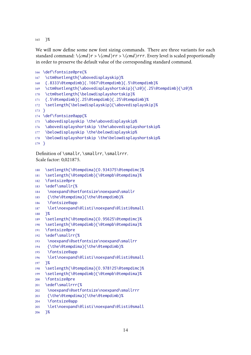}%

We will now define some new font sizing commands. There are three variants for each standard command:  $\langle \langle \text{cmd} \rangle r \rangle \langle \text{cmd} \rangle rr \rangle \langle \text{cmd} \rangle rrr$ . Every level is scaled proportionally in order to preserve the default value of the corresponding standard command.

```
166 \def\fontsize@pre{%
167 \ctm@setlength{\abovedisplayskip}%
168 {.8333\@tempdimb}{.1667\@tempdimb}{.5\@tempdimb}%
169 \ctm@setlength{\abovedisplayshortskip}{\z@}{.25\@tempdimb}{\z@}%
170 \ctm@setlength{\belowdisplayshortskip}%
171 {.5\@tempdimb}{.25\@tempdimb}{.25\@tempdimb}%
172 \setlength{\belowdisplayskip}{\abovedisplayskip}%
173 }
174 \def\fontsize@app{%
175 \abovedisplayskip \the\abovedisplayskip%
176 \abovedisplayshortskip \the\abovedisplayshortskip%
177 \belowdisplayskip \the\belowdisplayskip%
178 \belowdisplayshortskip \the\belowdisplayshortskip%
179 }
```

```
Definition of \smallr, \smallrr, \smallrrr.
Scale factor: 0,021875.
```

```
180 \setlength{\@tempdima}{0.934375\@tempdimc}%
181 \setlength{\@tempdimb}{\@tempb\@tempdima}%
```

```
182 \fontsize@pre
```

```
183 \edef\smallr{%
```

```
184 \noexpand\@setfontsize\noexpand\smallr
```

```
185 {\the\@tempdima}{\the\@tempdimb}%
```

```
186 \fontsize@app
```

```
187 \let\noexpand\@listi\noexpand\@listi@small
```
}%

```
189 \setlength{\@tempdima}{0.95625\@tempdimc}%
```

```
190 \setlength{\@tempdimb}{\@tempb\@tempdima}%
```

```
191 \fontsize@pre
```

```
192 \edef\smallrr{%
```

```
193 \noexpand\@setfontsize\noexpand\smallrr
```

```
194 {\the\@tempdima}{\the\@tempdimb}%
```

```
195 \fontsize@app
```

```
196 \let\noexpand\@listi\noexpand\@listi@small
```

```
197 }%
```

```
198 \setlength{\@tempdima}{0.978125\@tempdimc}%
```
\setlength{\@tempdimb}{\@tempb\@tempdima}%

```
200 \fontsize@pre
```

```
201 \edef\smallrrr{%
```

```
202 \noexpand\@setfontsize\noexpand\smallrrr
```
{\the\@tempdima}{\the\@tempdimb}%

```
204 \fontsize@app
```

```
205 \let\noexpand\@listi\noexpand\@listi@small
```

```
206 }%
```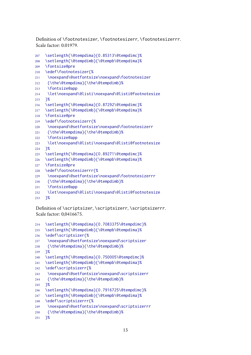Definition of \footnotesizer, \footnotesizerr, \footnotesizerrr. Scale factor: 0.01979.

```
207 \setlength{\@tempdima}{0.85313\@tempdimc}%
208 \setlength{\@tempdimb}{\@tempb\@tempdima}%
209 \fontsize@pre
210 \edef\footnotesizer{%
211 \noexpand\@setfontsize\noexpand\footnotesizer
212 {\the\@tempdima}{\the\@tempdimb}%
213 \fontsize@app
214 \let\noexpand\@listi\noexpand\@listi@footnotesize
215 }%
216 \setlength{\@tempdima}{0.87292\@tempdimc}%
217 \setlength{\@tempdimb}{\@tempb\@tempdima}%
218 \fontsize@pre
219 \edef\footnotesizerr{%
220 \noexpand\@setfontsize\noexpand\footnotesizerr
221 {\the\@tempdima}{\the\@tempdimb}%
222 \fontsize@app
223 \let\noexpand\@listi\noexpand\@listi@footnotesize
224 }%
225 \setlength{\@tempdima}{0.89271\@tempdimc}%
226 \setlength{\@tempdimb}{\@tempb\@tempdima}%
227 \fontsize@pre
228 \edef\footnotesizerrr{%
229 \noexpand\@setfontsize\noexpand\footnotesizerrr
230 {\the\@tempdima}{\the\@tempdimb}%
231 \fontsize@app
232 \let\noexpand\@listi\noexpand\@listi@footnotesize
```

```
233 }%
```
Definition of \scriptsizer, \scriptsizerr, \scriptsizerrr. Scale factor: 0,0416675.

```
234 \setlength{\@tempdima}{0.7083375\@tempdimc}%
235 \setlength{\@tempdimb}{\@tempb\@tempdima}%
236 \edef\scriptsizer{%
237 \noexpand\@setfontsize\noexpand\scriptsizer
238 {\the\@tempdima}{\the\@tempdimb}%
239 }%
240 \setlength{\@tempdima}{0.750005\@tempdimc}%
241 \setlength{\@tempdimb}{\@tempb\@tempdima}%
242 \edef\scriptsizerr{%
243 \noexpand\@setfontsize\noexpand\scriptsizerr
244 {\the\@tempdima}{\the\@tempdimb}%
245 }%
246 \setlength{\@tempdima}{0.7916725\@tempdimc}%
247 \setlength{\@tempdimb}{\@tempb\@tempdima}%
248 \edef\scriptsizerrr{%
249 \noexpand\@setfontsize\noexpand\scriptsizerrr
250 {\the\@tempdima}{\the\@tempdimb}%
```

```
251 }%
```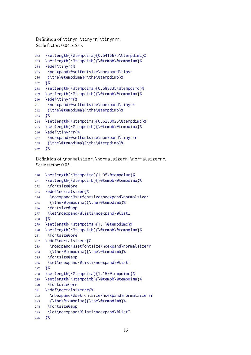Definition of \tinyr, \tinyrr, \tinyrrr. Scale factor: 0.0416675.

```
252 \setlength{\@tempdima}{0.5416675\@tempdimc}%
253 \setlength{\@tempdimb}{\@tempb\@tempdima}%
254 \edef\tinyr{%
255 \noexpand\@setfontsize\noexpand\tinyr
256 {\the\@tempdima}{\the\@tempdimb}%
257 }%
258 \setlength{\@tempdima}{0.583335\@tempdimc}%
259 \setlength{\@tempdimb}{\@tempb\@tempdima}%
260 \edef\tinyrr{%
261 \noexpand\@setfontsize\noexpand\tinyrr
262 {\the\@tempdima}{\the\@tempdimb}%
263 }%
264 \setlength{\@tempdima}{0.6250025\@tempdimc}%
265 \setlength{\@tempdimb}{\@tempb\@tempdima}%
266 \edef\tinyrrr{%
267 \noexpand\@setfontsize\noexpand\tinyrrr
268 {\the\@tempdima}{\the\@tempdimb}%
269 }%
```
Definition of \normalsizer, \normalsizerr, \normalsizerrr. Scale factor: 0.05.

```
270 \setlength{\@tempdima}{1.05\@tempdimc}%
271 \setlength{\@tempdimb}{\@tempb\@tempdima}%
272 \fontsize@pre
273 \edef\normalsizer{%
274 \noexpand\@setfontsize\noexpand\normalsizer
275 {\the\@tempdima}{\the\@tempdimb}%
276 \fontsize@app
277 \let\noexpand\@listi\noexpand\@listI
278 }%
279 \setlength{\@tempdima}{1.1\@tempdimc}%
280 \setlength{\@tempdimb}{\@tempb\@tempdima}%
281 \fontsize@pre
282 \edef\normalsizerr{%
283 \noexpand\@setfontsize\noexpand\normalsizerr
284 {\the\@tempdima}{\the\@tempdimb}%
285 \fontsize@app
286 \let\noexpand\@listi\noexpand\@listI
287 }%
288 \setlength{\@tempdima}{1.15\@tempdimc}%
289 \setlength{\@tempdimb}{\@tempb\@tempdima}%
290 \fontsize@pre
291 \edef\normalsizerrr{%
292 \noexpand\@setfontsize\noexpand\normalsizerrr
293 {\the\@tempdima}{\the\@tempdimb}%
294 \fontsize@app
295 \let\noexpand\@listi\noexpand\@listI
296 }%
```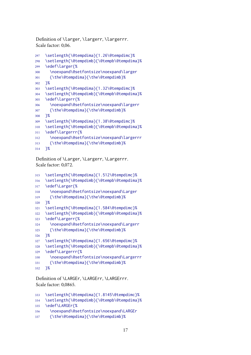Definition of \larger, \largerr, \largerrr. Scale factor: 0,06.

```
297 \setlength{\@tempdima}{1.26\@tempdimc}%
298 \setlength{\@tempdimb}{\@tempb\@tempdima}%
299 \edef\larger{%
300 \noexpand\@setfontsize\noexpand\larger
301 {\the\@tempdima}{\the\@tempdimb}%
302 }%
303 \setlength{\@tempdima}{1.32\@tempdimc}%
304 \setlength{\@tempdimb}{\@tempb\@tempdima}%
305 \edef\largerr{%
306 \noexpand\@setfontsize\noexpand\largerr
307 {\the\@tempdima}{\the\@tempdimb}%
308 }%
309 \setlength{\@tempdima}{1.38\@tempdimc}%
310 \setlength{\@tempdimb}{\@tempb\@tempdima}%
311 \edef\largerrr{%
312 \noexpand\@setfontsize\noexpand\largerrr
313 {\the\@tempdima}{\the\@tempdimb}%
314 }%
```
Definition of \Larger, \Largerr, \Largerrr. Scale factor: 0,072.

```
315 \setlength{\@tempdima}{1.512\@tempdimc}%
316 \setlength{\@tempdimb}{\@tempb\@tempdima}%
317 \edef\Larger{%
318 \noexpand\@setfontsize\noexpand\Larger
319 {\the\@tempdima}{\the\@tempdimb}%
320 }%
321 \setlength{\@tempdima}{1.584\@tempdimc}%
322 \setlength{\@tempdimb}{\@tempb\@tempdima}%
323 \edef\Largerr{%
324 \noexpand\@setfontsize\noexpand\Largerr
325 {\the\@tempdima}{\the\@tempdimb}%
326 }%
327 \setlength{\@tempdima}{1.656\@tempdimc}%
328 \setlength{\@tempdimb}{\@tempb\@tempdima}%
329 \edef\Largerrr{%
330 \noexpand\@setfontsize\noexpand\Largerrr
331 {\the\@tempdima}{\the\@tempdimb}%
332 }%
```
Definition of \LARGEr, \LARGErr, \LARGErrr. Scale factor: 0,0865.

```
333 \setlength{\@tempdima}{1.8145\@tempdimc}%
334 \setlength{\@tempdimb}{\@tempb\@tempdima}%
335 \edef\LARGEr{%
336 \noexpand\@setfontsize\noexpand\LARGEr
337 {\the\@tempdima}{\the\@tempdimb}%
```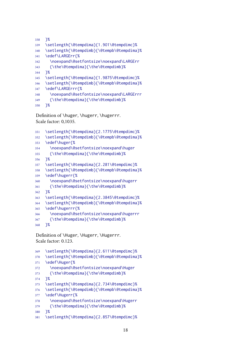```
338 }%
339 \setlength{\@tempdima}{1.901\@tempdimc}%
340 \setlength{\@tempdimb}{\@tempb\@tempdima}%
341 \edef\LARGErr{%
342 \noexpand\@setfontsize\noexpand\LARGErr
343 {\the\@tempdima}{\the\@tempdimb}%
344 }%
345 \setlength{\@tempdima}{1.9875\@tempdimc}%
346 \setlength{\@tempdimb}{\@tempb\@tempdima}%
347 \edef\LARGErrr{%
348 \noexpand\@setfontsize\noexpand\LARGErrr
349 {\the\@tempdima}{\the\@tempdimb}%
350 }%
```
Definition of \huger, \hugerr, \hugerrr. Scale factor: 0,1035.

```
351 \setlength{\@tempdima}{2.1775\@tempdimc}%
352 \setlength{\@tempdimb}{\@tempb\@tempdima}%
353 \edef\huger{%
354 \noexpand\@setfontsize\noexpand\huger
355 {\the\@tempdima}{\the\@tempdimb}%
356 }%
357 \setlength{\@tempdima}{2.281\@tempdimc}%
358 \setlength{\@tempdimb}{\@tempb\@tempdima}%
359 \edef\hugerr{%
360 \noexpand\@setfontsize\noexpand\hugerr
361 {\the\@tempdima}{\the\@tempdimb}%
362 }%
363 \setlength{\@tempdima}{2.3845\@tempdimc}%
364 \setlength{\@tempdimb}{\@tempb\@tempdima}%
365 \edef\hugerrr{%
366 \noexpand\@setfontsize\noexpand\hugerrr
367 {\the\@tempdima}{\the\@tempdimb}%
368 }%
```
Definition of \Huger, \Hugerr, \Hugerrr. Scale factor: 0.123.

```
369 \setlength{\@tempdima}{2.611\@tempdimc}%
370 \setlength{\@tempdimb}{\@tempb\@tempdima}%
371 \edef\Huger{%
372 \noexpand\@setfontsize\noexpand\Huger
373 {\the\@tempdima}{\the\@tempdimb}%
374 }%
375 \setlength{\@tempdima}{2.734\@tempdimc}%
376 \setlength{\@tempdimb}{\@tempb\@tempdima}%
377 \edef\Hugerr{%
378 \noexpand\@setfontsize\noexpand\Hugerr
379 {\the\@tempdima}{\the\@tempdimb}%
380 }%
381 \setlength{\@tempdima}{2.857\@tempdimc}%
```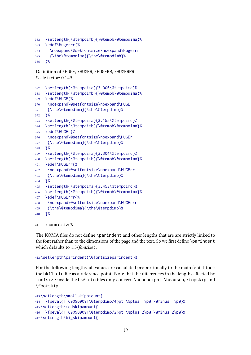```
382 \setlength{\@tempdimb}{\@tempb\@tempdima}%
383 \edef\Hugerrr{%
384 \noexpand\@setfontsize\noexpand\Hugerrr
385 {\the\@tempdima}{\the\@tempdimb}%
386 }%
```
Definition of \HUGE, \HUGER, \HUGERR, \HUGERRR. Scale factor: 0,149.

```
387 \setlength{\@tempdima}{3.006\@tempdimc}%
388 \setlength{\@tempdimb}{\@tempb\@tempdima}%
389 \edef\HUGE{%
390 \noexpand\@setfontsize\noexpand\HUGE
391 {\the\@tempdima}{\the\@tempdimb}%
392 }%
393 \setlength{\@tempdima}{3.155\@tempdimc}%
394 \setlength{\@tempdimb}{\@tempb\@tempdima}%
395 \edef\HUGEr{%
396 \noexpand\@setfontsize\noexpand\HUGEr
397 {\the\@tempdima}{\the\@tempdimb}%
398 }%
399 \setlength{\@tempdima}{3.304\@tempdimc}%
400 \setlength{\@tempdimb}{\@tempb\@tempdima}%
401 \edef\HUGErr{%
402 \noexpand\@setfontsize\noexpand\HUGErr
403 {\the\@tempdima}{\the\@tempdimb}%
404 }%
405 \setlength{\@tempdima}{3.453\@tempdimc}%
406 \setlength{\@tempdimb}{\@tempb\@tempdima}%
407 \edef\HUGErrr{%
408 \noexpand\@setfontsize\noexpand\HUGErrr
409 {\the\@tempdima}{\the\@tempdimb}%
410 }%
```
\normalsize%

The KOMA files do not define \parindent and other lengths that are are strictly linked to the font rather than to the dimensions of the page and the text. So we first define \parindent which defaults to 1.5⟨*fontsize*⟩:

#### \setlength\parindent{\@fontsizeparindent}%

For the following lengths, all values are calculated proportionally to the main font. I took the bk11.clo file as a reference point. Note that the differences in the lengths affected by fontsize inside the bk\*.clo files only concern \headheight, \headsep, \topskip and \footskip.

```
413 \setlength\smallskipamount{
414 \fpeval{1.090909091\@tempdimb/4}pt \@plus 1\p@ \@minus 1\p@}%
415 \setlength\medskipamount{
416 \fpeval{1.090909091\@tempdimb/2}pt \@plus 2\p@ \@minus 2\p@}%
417 \setlength\bigskipamount{
```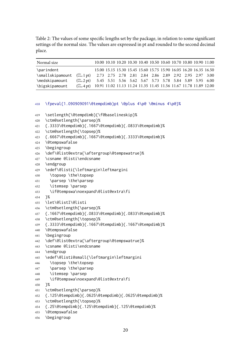Table 2: The values of some specific lengths set by the package, in relation to some significant settings of the normal size. The values are expressed in pt and rounded to the second decimal place.

| Normal size           |                                                                                               |  |  |  |  |  | 10.00 10.10 10.20 10.30 10.40 10.50 10.60 10.70 10.80 10.90 11.00 |
|-----------------------|-----------------------------------------------------------------------------------------------|--|--|--|--|--|-------------------------------------------------------------------|
| \parindent            |                                                                                               |  |  |  |  |  | 15.00 15.15 15.30 15.45 15.60 15.75 15.90 16.05 16.20 16.35 16.50 |
| \smallskipamount      | $\binom{plus}{minus}$ 1 pt) 2.73 2.75 2.78 2.81 2.84 2.86 2.89 2.92 2.95 2.97 3.00            |  |  |  |  |  |                                                                   |
| \medskipamount        | $\binom{plus}{minus}$ 2 pt) 5.45 5.51 5.56 5.62 5.67 5.73 5.78 5.84 5.89 5.95 6.00            |  |  |  |  |  |                                                                   |
| <b>\bigskipamount</b> | $\binom{plus}{minus}$ 4 pt) 10.91 11.02 11.13 11.24 11.35 11.45 11.56 11.67 11.78 11.89 12.00 |  |  |  |  |  |                                                                   |

### \fpeval{1.090909091\@tempdimb}pt \@plus 4\p@ \@minus 4\p@}%

- \setlength{\@tempdimb}{\f@baselineskip}%
- \ctm@setlength{\parsep}%
- {.3333\@tempdimb}{.1667\@tempdimb}{.0833\@tempdimb}%
- \ctm@setlength{\topsep}%
- {.6667\@tempdimb}{.1667\@tempdimb}{.3333\@tempdimb}%
- \@tempswafalse
- \begingroup
- \def\@list@extra{\aftergroup\@tempswatrue}%
- \csname @listi\endcsname
- \endgroup
- \edef\@listi{\leftmargin\leftmargini
- \topsep \the\topsep
- \parsep \the\parsep
- \itemsep \parsep
- \if@tempswa\noexpand\@list@extra\fi
- }%
- \let\@listI\@listi
- \ctm@setlength{\parsep}%
- {.1667\@tempdimb}{.0833\@tempdimb}{.0833\@tempdimb}%
- \ctm@setlength{\topsep}%
- {.3333\@tempdimb}{.1667\@tempdimb}{.1667\@tempdimb}%
- \@tempswafalse
- \begingroup
- \def\@list@extra{\aftergroup\@tempswatrue}%
- \csname @listi\endcsname
- \endgroup
- \edef\@listi@small{\leftmargin\leftmargini
- \topsep \the\topsep
- 447 \parsep \the\parsep
- \itemsep \parsep
- \if@tempswa\noexpand\@list@extra\fi
- }%
- \ctm@setlength{\parsep}%
- {.125\@tempdimb}{.0625\@tempdimb}{.0625\@tempdimb}%
- \ctm@setlength{\topsep}%
- {.25\@tempdimb}{.125\@tempdimb}{.125\@tempdimb}%
- \@tempswafalse
- \begingroup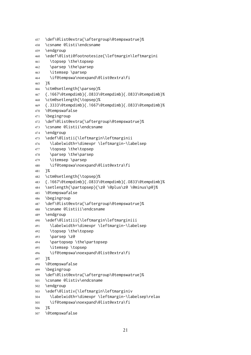```
457 \def\@list@extra{\aftergroup\@tempswatrue}%
458 \csname @listi\endcsname
459 \endgroup
460 \edef\@listi@footnotesize{\leftmargin\leftmargini
461 \topsep \the\topsep
462 \parsep \the\parsep
463 \itemsep \parsep
464 \if@tempswa\noexpand\@list@extra\fi
465 }%
466 \ctm@setlength{\parsep}%
467 {.1667\@tempdimb}{.0833\@tempdimb}{.0833\@tempdimb}%
468 \ctm@setlength{\topsep}%
469 {.3333\@tempdimb}{.1667\@tempdimb}{.0833\@tempdimb}%
470 \@tempswafalse
471 \begingroup
472 \def\@list@extra{\aftergroup\@tempswatrue}%
473 \csname @listii\endcsname
474 \endgroup
475 \edef\@listii{\leftmargin\leftmarginii
476 \labelwidth=\dimexpr \leftmargin-\labelsep
477 \topsep \the\topsep
478 \parsep \the\parsep
479 \itemsep \parsep
480 \if@tempswa\noexpand\@list@extra\fi
481 }%
482 \ctm@setlength{\topsep}%
483 {.1667\@tempdimb}{.0833\@tempdimb}{.0833\@tempdimb}%
484 \setlength{\partopsep}{\z@ \@plus\z@ \@minus\p@}%
485 \@tempswafalse
486 \begingroup
487 \def\@list@extra{\aftergroup\@tempswatrue}%
488 \csname @listiii\endcsname
489 \endgroup
490 \edef\@listiii{\leftmargin\leftmarginiii
491 \labelwidth=\dimexpr \leftmargin-\labelsep
492 \topsep \the\topsep
493 \parsep \z@
494 \partopsep \the\partopsep
495 \itemsep \topsep
496 \if@tempswa\noexpand\@list@extra\fi
497 }%
498 \@tempswafalse
499 \begingroup
500 \def\@list@extra{\aftergroup\@tempswatrue}%
501 \csname @listiv\endcsname
502 \endgroup
503 \edef\@listiv{\leftmargin\leftmarginiv
504 \labelwidth=\dimexpr \leftmargin-\labelsep\relax
505 \if@tempswa\noexpand\@list@extra\fi
506 }%
```

```
507 \@tempswafalse
```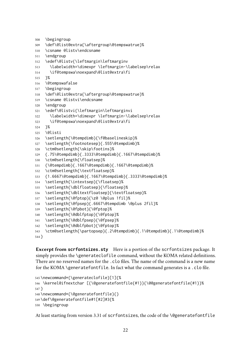```
508 \begingroup
509 \def\@list@extra{\aftergroup\@tempswatrue}%
510 \csname @listv\endcsname
511 \endgroup
512 \edef\@listv{\leftmargin\leftmarginv
513 \labelwidth=\dimexpr \leftmargin-\labelsep\relax
514 \if@tempswa\noexpand\@list@extra\fi
515 }%
516 \@tempswafalse
517 \begingroup
518 \def\@list@extra{\aftergroup\@tempswatrue}%
519 \csname @listvi\endcsname
520 \endgroup
521 \edef\@listvi{\leftmargin\leftmarginvi
522 \labelwidth=\dimexpr \leftmargin-\labelsep\relax
523 \if@tempswa\noexpand\@list@extra\fi
524 }%
525 \@listi
526 \setlength{\@tempdimb}{\f@baselineskip}%
527 \setlength{\footnotesep}{.555\@tempdimb}%
528 \ctm@setlength{\skip\footins}%
529 {.75\@tempdimb}{.3333\@tempdimb}{.1667\@tempdimb}%
530 \ctm@setlength{\floatsep}%
531 {\@tempdimb}{.1667\@tempdimb}{.1667\@tempdimb}%
532 \ctm@setlength{\textfloatsep}%
533 {1.6667\@tempdimb}{.1667\@tempdimb}{.3333\@tempdimb}%
534 \setlength{\intextsep}{\floatsep}%
535 \setlength{\dblfloatsep}{\floatsep}%
536 \setlength{\dbltextfloatsep}{\textfloatsep}%
537 \setlength{\@fptop}{\z@ \@plus 1fil}%
538 \setlength{\@fpsep}{.6667\@tempdimb \@plus 2fil}%
539 \setlength{\@fpbot}{\@fptop}%
540 \setlength{\@dblfptop}{\@fptop}%
541 \setlength{\@dblfpsep}{\@fpsep}%
542 \setlength{\@dblfpbot}{\@fptop}%
543 \ctm@setlength{\partopsep}{.2\@tempdimb}{.1\@tempdimb}{.1\@tempdimb}%
544 }
```
Excerpt from **scrfontsizes.sty** Here is a portion of the scrfontsizes package. It simply provides the \generateclofile command, without the KOMA related definitions. There are no reserved names for the .clo files. The name of the command is a new name for the KOMA \generatefontfile. In fact what the command generates is a .clo file.

```
545 \newcommand*{\generateclofile}[1]{%
546 \kernel@ifnextchar [{\@generatefontfile{#1}}{\@@generatefontfile{#1}}%
547 }
548 \newcommand*{\@generatefontfile}{}
549 \def\@generatefontfile#1[#2]#3{%
550 \begingroup
```
At least starting from version 3.31 of scrfontsizes, the code of the \@generatefontfile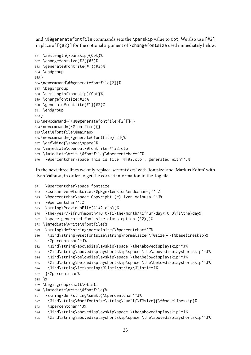and \@@generatefontfile commands sets the \parskip value to 0pt. We also use [#2] in place of  $[42]$  for the optional argument of \changefontsize used immediately below.

```
551 \setlength{\parskip}{0pt}%
552 \changefontsize[#2]{#3}%
553 \generate@fontfile{#1}{#3}%
554 \endgroup
555 }
556 \newcommand\@@generatefontfile[2]{%
557 \begingroup
558 \setlength{\parskip}{0pt}%
559 \changefontsize{#2}%
560 \generate@fontfile{#1}{#2}%
561 \endgroup
562 }
563 \newcommand*{\@@@generatefontfile}[2][]{}
564 \newcommand*{\@fontfile}{}
565 \let\@fontfile\@mainaux
566 \newcommand*{\generate@fontfile}[2]{%
567 \def\@ind{\space\space}%
568 \immediate\openout\@fontfile #1#2.clo
569 \immediate\write\@fontfile{\@percentchar^^J%
570 \@percentchar\space This is file '#1#2.clo', generated with^^J%
```
In the next three lines we only replace 'scrfontsizes' with 'fontsize' and 'Markus Kohm' with 'Ivan Valbusa', in order to get the correct information in the .log file.

```
571 \@percentchar\space fontsize
572 \csname ver@fontsize.\@pkgextension\endcsname,^^J%
573 \@percentchar\space Copyright (c) Ivan Valbusa.^^J%
574 \@percentchar^^J%
575 \string\ProvidesFile{#1#2.clo}[%
576 \the\year/\ifnum\month<10 0\fi\the\month/\ifnum\day<10 0\fi\the\day%
577 \space generated font size class option (#2)]}%
578 \immediate\write\@fontfile{%
579 \string\def\string\normalsize{\@percentchar^^J%
580 \@ind\string\@setfontsize\string\normalsize{\f@size}{\f@baselineskip}%
581 \@percentchar^^J%
582 \@ind\string\abovedisplayskip\space \the\abovedisplayskip^^J%
583 \@ind\string\abovedisplayshortskip\space \the\abovedisplayshortskip^^J%
584 \@ind\string\belowdisplayskip\space \the\belowdisplayskip^^J%
585 \@ind\string\belowdisplayshortskip\space \the\belowdisplayshortskip^^J%
586 \@ind\string\let\string\@listi\string\@listI^^J%
587 }\@percentchar%
588 }%
589 \begingroup\small\@listi
590 \immediate\write\@fontfile{%
591 \string\def\string\small{\@percentchar^^J%
592 \@ind\string\@setfontsize\string\small{\f@size}{\f@baselineskip}%
593 \@percentchar^^J%
594 \@ind\string\abovedisplayskip\space \the\abovedisplayskip^^J%
```
\@ind\string\abovedisplayshortskip\space \the\abovedisplayshortskip^^J%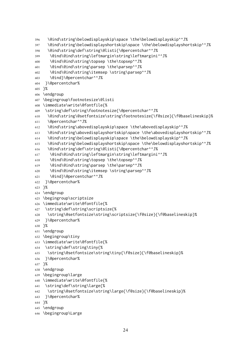```
596 \@ind\string\belowdisplayskip\space \the\belowdisplayskip^^J%
597 \@ind\string\belowdisplayshortskip\space \the\belowdisplayshortskip^^J%
598 \@ind\string\def\string\@listi{\@percentchar^^J%
599 \@ind\@ind\string\leftmargin\string\leftmargini^^J%
600 \@ind\@ind\string\topsep \the\topsep^^J%
601 \@ind\@ind\string\parsep \the\parsep^^J%
602 \@ind\@ind\string\itemsep \string\parsep^^J%
603 \@ind}\@percentchar^^J%
604 }\@percentchar%
605 }%
606 \endgroup
607 \begingroup\footnotesize\@listi
608 \immediate\write\@fontfile{%
609 \string\def\string\footnotesize{\@percentchar^^J%
610 \@ind\string\@setfontsize\string\footnotesize{\f@size}{\f@baselineskip}%
611 \@percentchar^^J%
612 \@ind\string\abovedisplayskip\space \the\abovedisplayskip^^J%
613 \@ind\string\abovedisplayshortskip\space \the\abovedisplayshortskip^^J%
614 \@ind\string\belowdisplayskip\space \the\belowdisplayskip^^J%
615 \@ind\string\belowdisplayshortskip\space \the\belowdisplayshortskip^^J%
616 \@ind\string\def\string\@listi{\@percentchar^^J%
617 \@ind\@ind\string\leftmargin\string\leftmargini^^J%
618 \@ind\@ind\string\topsep \the\topsep^^J%
619 \@ind\@ind\string\parsep \the\parsep^^J%
620 \@ind\@ind\string\itemsep \string\parsep^^J%
621 \@ind}\@percentchar^^J%
622 }\@percentchar%
623 }%
624 \endgroup
625 \begingroup\scriptsize
626 \immediate\write\@fontfile{%
627 \string\def\string\scriptsize{%
628 \string\@setfontsize\string\scriptsize{\f@size}{\f@baselineskip}%
629 }\@percentchar%
630 }%
631 \endgroup
632 \begingroup\tiny
633 \immediate\write\@fontfile{%
634 \string\def\string\tiny{%
635 \string\@setfontsize\string\tiny{\f@size}{\f@baselineskip}%
636 }\@percentchar%
637 }%
638 \endgroup
639 \begingroup\large
640 \immediate\write\@fontfile{%
641 \string\def\string\large{%
642 \string\@setfontsize\string\large{\f@size}{\f@baselineskip}%
643 }\@percentchar%
644 }%
645 \endgroup
646 \begingroup\Large
```

```
24
```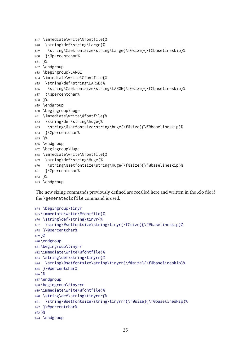```
647 \immediate\write\@fontfile{%
648 \string\def\string\Large{%
649 \string\@setfontsize\string\Large{\f@size}{\f@baselineskip}%
650 }\@percentchar%
651 }%
652 \endgroup
653 \begingroup\LARGE
654 \immediate\write\@fontfile{%
655 \string\def\string\LARGE{%
656 \string\@setfontsize\string\LARGE{\f@size}{\f@baselineskip}%
657 }\@percentchar%
658 }%
659 \endgroup
660 \begingroup\huge
661 \immediate\write\@fontfile{%
662 \string\def\string\huge{%
663 \string\@setfontsize\string\huge{\f@size}{\f@baselineskip}%
664 }\@percentchar%
665 }%
666 \endgroup
667 \begingroup\Huge
668 \immediate\write\@fontfile{%
669 \string\def\string\Huge{%
670 \string\@setfontsize\string\Huge{\f@size}{\f@baselineskip}%
671 }\@percentchar%
672 }%
673 \endgroup
```
The new sizing commands previously defined are recalled here and written in the .clo file if the \generateclofile command is used.

```
674 \begingroup\tinyr
675 \immediate\write\@fontfile{%
676 \string\def\string\tinyr{%
677 \string\@setfontsize\string\tinyr{\f@size}{\f@baselineskip}%
678 }\@percentchar%
679 }%
680 \endgroup
681 \begingroup\tinyrr
682 \immediate\write\@fontfile{%
683 \string\def\string\tinyrr{%
684 \string\@setfontsize\string\tinyrr{\f@size}{\f@baselineskip}%
685 }\@percentchar%
686 }%
687 \endgroup
688 \begingroup\tinyrrr
689 \immediate\write\@fontfile{%
690 \string\def\string\tinyrrr{%
691 \string\@setfontsize\string\tinyrrr{\f@size}{\f@baselineskip}%
692 }\@percentchar%
693 }%
694 \endgroup
```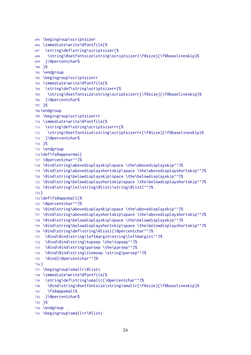```
695 \begingroup\scriptsizer
696 \immediate\write\@fontfile{%
697 \string\def\string\scriptsizer{%
698 \string\@setfontsize\string\scriptsizer{\f@size}{\f@baselineskip}%
699 }\@percentchar%
700 }%
701 \endgroup
702 \begingroup\scriptsizerr
703 \immediate\write\@fontfile{%
704 \string\def\string\scriptsizerr{%
705 \string\@setfontsize\string\scriptsizerr{\f@size}{\f@baselineskip}%
706 }\@percentchar%
707 }%
708 \endgroup
709 \begingroup\scriptsizerrr
710 \immediate\write\@fontfile{%
711 \string\def\string\scriptsizerrr{%
712 \string\@setfontsize\string\scriptsizerrr{\f@size}{\f@baselineskip}%
713 }\@percentchar%
714 }%
715 \endgroup
716 \def\fs@appnormal{
717 \@percentchar^^J%
718 \@ind\string\abovedisplayskip\space \the\abovedisplayskip^^J%
719 \@ind\string\abovedisplayshortskip\space \the\abovedisplayshortskip^^J%
720 \@ind\string\belowdisplayskip\space \the\belowdisplayskip^^J%
721 \@ind\string\belowdisplayshortskip\space \the\belowdisplayshortskip^^J%
722 \@ind\string\let\string\@listi\string\@listI^^J%
723 }
724 \def\fs@appsmall{%
725 \@percentchar^^J%
726 \@ind\string\abovedisplayskip\space \the\abovedisplayskip^^J%
727 \@ind\string\abovedisplayshortskip\space \the\abovedisplayshortskip^^J%
728 \@ind\string\belowdisplayskip\space \the\belowdisplayskip^^J%
729 \@ind\string\belowdisplayshortskip\space \the\belowdisplayshortskip^^J%
730 \@ind\string\def\string\@listi{\@percentchar^^J%
731 \@ind\@ind\string\leftmargin\string\leftmargini^^J%
732 \@ind\@ind\string\topsep \the\topsep^^J%
733 \@ind\@ind\string\parsep \the\parsep^^J%
734 \@ind\@ind\string\itemsep \string\parsep^^J%
735 \@ind}\@percentchar^^J%
736 }
737 \begingroup\smallr\@listi
738 \immediate\write\@fontfile{%
739 \string\def\string\smallr{\@percentchar^^J%
740 \@ind\string\@setfontsize\string\smallr{\f@size}{\f@baselineskip}%
741 \fs@appsmall%
742 }\@percentchar%
743 }%
744 \endgroup
```

```
745 \begingroup\smallrr\@listi
```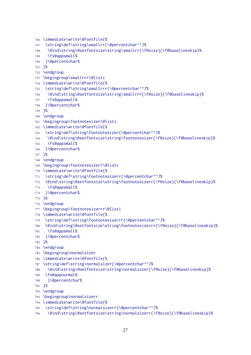```
746 \immediate\write\@fontfile{%
747 \string\def\string\smallrr{\@percentchar^^J%
748 \@ind\string\@setfontsize\string\smallrr{\f@size}{\f@baselineskip}%
749 \fs@appsmall%
750 }\@percentchar%
751 }%
752 \endgroup
753 \begingroup\smallrrr\@listi
754 \immediate\write\@fontfile{%
755 \string\def\string\smallrrr{\@percentchar^^J%
756 \@ind\string\@setfontsize\string\smallrrr{\f@size}{\f@baselineskip}%
757 \fs@appsmall%
758 }\@percentchar%
759 }%
760 \endgroup
761 \begingroup\footnotesizer\@listi
762 \immediate\write\@fontfile{%
763 \string\def\string\footnotesizer{\@percentchar^^J%
764 \@ind\string\@setfontsize\string\footnotesizer{\f@size}{\f@baselineskip}%
765 \fs@appsmall%
766 }\@percentchar%
767 }%
768 \endgroup
769 \begingroup\footnotesizerr\@listi
770 \immediate\write\@fontfile{%
771 \string\def\string\footnotesizerr{\@percentchar^^J%
772 \@ind\string\@setfontsize\string\footnotesizerr{\f@size}{\f@baselineskip}%
773 \fs@appsmall%
774 }\@percentchar%
775 }%
776 \endgroup
777 \begingroup\footnotesizerrr\@listi
778 \immediate\write\@fontfile{%
779 \string\def\string\footnotesizerrr{\@percentchar^^J%
780 \@ind\string\@setfontsize\string\footnotesizerrr{\f@size}{\f@baselineskip}%
781 \fs@appsmall%
782 }\@percentchar%
783 }%
784 \endgroup
785 \begingroup\normalsizer
786 \immediate\write\@fontfile{%
787 \string\def\string\normalsizer{\@percentchar^^J%
788 \@ind\string\@setfontsize\string\normalsizer{\f@size}{\f@baselineskip}%
789 \fs@appnormal%
790 }\@percentchar%
791 }%
792 \endgroup
793 \begingroup\normalsizerr
794 \immediate\write\@fontfile{%
795 \string\def\string\normalsizerr{\@percentchar^^J%
```

```
796 \@ind\string\@setfontsize\string\normalsizerr{\f@size}{\f@baselineskip}%
```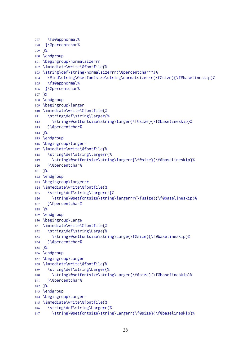```
797 \fs@appnormal%
798 }\@percentchar%
799 }%
800 \endgroup
801 \begingroup\normalsizerrr
802 \immediate\write\@fontfile{%
803 \string\def\string\normalsizerrr{\@percentchar^^J%
804 \@ind\string\@setfontsize\string\normalsizerrr{\f@size}{\f@baselineskip}%
805 \fs@appnormal%
806 }\@percentchar%
807 }%
808 \endgroup
809 \begingroup\larger
810 \immediate\write\@fontfile{%
811 \string\def\string\larger{%
812 \string\@setfontsize\string\larger{\f@size}{\f@baselineskip}%
813 }\@percentchar%
814 }%
815 \endgroup
816 \begingroup\largerr
817 \immediate\write\@fontfile{%
818 \string\def\string\largerr{%
819 \string\@setfontsize\string\largerr{\f@size}{\f@baselineskip}%
820 }\@percentchar%
821 }%
822 \endgroup
823 \begingroup\largerrr
824 \immediate\write\@fontfile{%
825 \string\def\string\largerrr{%
826 \string\@setfontsize\string\largerrr{\f@size}{\f@baselineskip}%
827 }\@percentchar%
828 }%
829 \endgroup
830 \begingroup\Large
831 \immediate\write\@fontfile{%
832 \string\def\string\Large{%
833 \string\@setfontsize\string\Large{\f@size}{\f@baselineskip}%
834 }\@percentchar%
835 }%
836 \endgroup
837 \begingroup\Larger
838 \immediate\write\@fontfile{%
839 \string\def\string\Larger{%
840 \string\@setfontsize\string\Larger{\f@size}{\f@baselineskip}%
841 }\@percentchar%
842 }%
843 \endgroup
844 \begingroup\Largerr
845 \immediate\write\@fontfile{%
846 \string\def\string\Largerr{%
```

```
847 \string\@setfontsize\string\Largerr{\f@size}{\f@baselineskip}%
```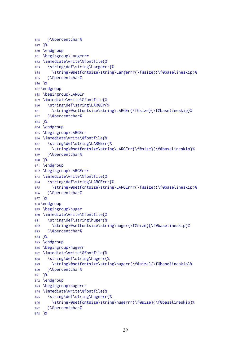```
848 }\@percentchar%
849 }%
850 \endgroup
851 \begingroup\Largerrr
852 \immediate\write\@fontfile{%
853 \string\def\string\Largerrr{%
854 \string\@setfontsize\string\Largerrr{\f@size}{\f@baselineskip}%
855 }\@percentchar%
856 }%
857 \endgroup
858 \begingroup\LARGEr
859 \immediate\write\@fontfile{%
860 \string\def\string\LARGEr{%
861 \string\@setfontsize\string\LARGEr{\f@size}{\f@baselineskip}%
862 }\@percentchar%
863 }%
864 \endgroup
865 \begingroup\LARGErr
866 \immediate\write\@fontfile{%
867 \string\def\string\LARGErr{%
868 \string\@setfontsize\string\LARGErr{\f@size}{\f@baselineskip}%
869 }\@percentchar%
870 }%
871 \endgroup
872 \begingroup\LARGErrr
873 \immediate\write\@fontfile{%
874 \string\def\string\LARGErrr{%
875 \string\@setfontsize\string\LARGErrr{\f@size}{\f@baselineskip}%
876 }\@percentchar%
877 }%
878 \endgroup
879 \begingroup\huger
880 \immediate\write\@fontfile{%
881 \string\def\string\huger{%
882 \string\@setfontsize\string\huger{\f@size}{\f@baselineskip}%
883 }\@percentchar%
884 }%
885 \endgroup
886 \begingroup\hugerr
887 \immediate\write\@fontfile{%
888 \string\def\string\hugerr{%
889 \string\@setfontsize\string\hugerr{\f@size}{\f@baselineskip}%
890 }\@percentchar%
891 }%
892 \endgroup
893 \begingroup\hugerrr
894 \immediate\write\@fontfile{%
895 \string\def\string\hugerrr{%
896 \string\@setfontsize\string\hugerrr{\f@size}{\f@baselineskip}%
897 }\@percentchar%
```

```
898 }%
```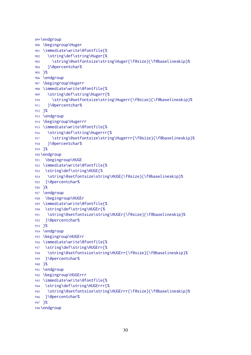```
899 \endgroup
900 \begingroup\Huger
901 \immediate\write\@fontfile{%
902 \string\def\string\Huger{%
903 \string\@setfontsize\string\Huger{\f@size}{\f@baselineskip}%
904 }\@percentchar%
905 }%
906 \endgroup
907 \begingroup\Hugerr
908 \immediate\write\@fontfile{%
909 \string\def\string\Hugerr{%
910 \string\@setfontsize\string\Hugerr{\f@size}{\f@baselineskip}%
911 }\@percentchar%
912 }%
913 \endgroup
914 \begingroup\Hugerrr
915 \immediate\write\@fontfile{%
916 \string\def\string\Hugerrr{%
917 \string\@setfontsize\string\Hugerrr{\f@size}{\f@baselineskip}%
918 }\@percentchar%
919 }%
920 \endgroup
921 \begingroup\HUGE
922 \immediate\write\@fontfile{%
923 \string\def\string\HUGE{%
924 \string\@setfontsize\string\HUGE{\f@size}{\f@baselineskip}%
925 }\@percentchar%
926 }%
927 \endgroup
928 \begingroup\HUGEr
929 \immediate\write\@fontfile{%
930 \string\def\string\HUGEr{%
931 \string\@setfontsize\string\HUGEr{\f@size}{\f@baselineskip}%
932 }\@percentchar%
933 }%
934 \endgroup
935 \begingroup\HUGErr
936 \immediate\write\@fontfile{%
937 \string\def\string\HUGErr{%
938 \string\@setfontsize\string\HUGErr{\f@size}{\f@baselineskip}%
939 }\@percentchar%
940 }%
941 \endgroup
942 \begingroup\HUGErrr
943 \immediate\write\@fontfile{%
944 \string\def\string\HUGErrr{%
945 \string\@setfontsize\string\HUGErrr{\f@size}{\f@baselineskip}%
946 }\@percentchar%
947 }%
948 \endgroup
```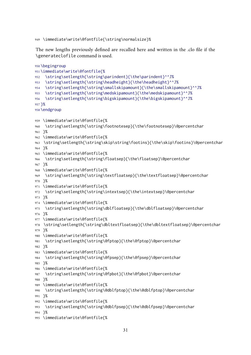\immediate\write\@fontfile{\string\normalsize}%

The new lengths previously defined are recalled here and written in the .clo file if the \generateclofile command is used.

```
950 \begingroup
951 \immediate\write\@fontfile{%
952 \string\setlength{\string\parindent}{\the\parindent}^^J%
953 \string\setlength{\string\headheight}{\the\headheight}^^J%
954 \string\setlength{\string\smallskipamount}{\the\smallskipamount}^^J%
955 \string\setlength{\string\medskipamount}{\the\medskipamount}^^J%
956 \string\setlength{\string\bigskipamount}{\the\bigskipamount}^^J%
957 }%
958 \endgroup
959 \immediate\write\@fontfile{%
960 \string\setlength{\string\footnotesep}{\the\footnotesep}\@percentchar
961 }%
962 \immediate\write\@fontfile{%
963 \string\setlength{\string\skip\string\footins}{\the\skip\footins}\@percentchar
964 }%
965 \immediate\write\@fontfile{%
966 \string\setlength{\string\floatsep}{\the\floatsep}\@percentchar
967 }%
968 \immediate\write\@fontfile{%
969 \string\setlength{\string\textfloatsep}{\the\textfloatsep}\@percentchar
970 }%
971 \immediate\write\@fontfile{%
972 \string\setlength{\string\intextsep}{\the\intextsep}\@percentchar
973 }%
974 \immediate\write\@fontfile{%
975 \string\setlength{\string\dblfloatsep}{\the\dblfloatsep}\@percentchar
976 }%
977 \immediate\write\@fontfile{%
978 \string\setlength{\string\dbltextfloatsep}{\the\dbltextfloatsep}\@percentchar
979 }%
980 \immediate\write\@fontfile{%
981 \string\setlength{\string\@fptop}{\the\@fptop}\@percentchar
982 }%
983 \immediate\write\@fontfile{%
984 \string\setlength{\string\@fpsep}{\the\@fpsep}\@percentchar
985 }%
986 \immediate\write\@fontfile{%
987 \string\setlength{\string\@fpbot}{\the\@fpbot}\@percentchar
988 }%
989 \immediate\write\@fontfile{%
990 \string\setlength{\string\@dblfptop}{\the\@dblfptop}\@percentchar
991 }%
992 \immediate\write\@fontfile{%
993 \string\setlength{\string\@dblfpsep}{\the\@dblfpsep}\@percentchar
994 }%
995 \immediate\write\@fontfile{%
```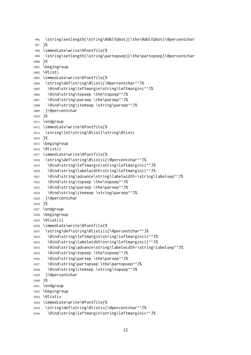```
996 \string\setlength{\string\@dblfpbot}{\the\@dblfpbot}\@percentchar
997 }%
998 \immediate\write\@fontfile{%
999 \string\setlength{\string\partopsep}{\the\partopsep}\@percentchar
1000 }%
1001 \begingroup
1002 \@listi
1003 \immediate\write\@fontfile{%
1004 \string\def\string\@listi{\@percentchar^^J%
1005 \@ind\string\leftmargin\string\leftmargini^^J%
1006 \@ind\string\topsep \the\topsep^^J%
1007 \@ind\string\parsep \the\parsep^^J%
1008 \@ind\string\itemsep \string\parsep^^J%
1009 }\@percentchar
1010 }%
1011 \endgroup
1012 \immediate\write\@fontfile{%
1013 \string\let\string\@listI\string\@listi
1014 }%
1015 \begingroup
1016 \@listii
1017 \immediate\write\@fontfile{%
1018 \string\def\string\@listii{\@percentchar^^J%
1019 \@ind\string\leftmargin\string\leftmarginii^^J%
1020 \@ind\string\labelwidth\string\leftmarginii^^J%
1021 \@ind\string\advance\string\labelwidth-\string\labelsep^^J%
1022 \@ind\string\topsep \the\topsep^^J%
1023 \@ind\string\parsep \the\parsep^^J%
1024 \@ind\string\itemsep \string\parsep^^J%
1025 }\@percentchar
1026 }%
1027 \endgroup
1028 \begingroup
1029 \@listiii
1030 \immediate\write\@fontfile{%
1031 \string\def\string\@listiii{\@percentchar^^J%
1032 \@ind\string\leftmargin\string\leftmarginiii^^J%
1033 \@ind\string\labelwidth\string\leftmarginiii^^J%
1034 \@ind\string\advance\string\labelwidth-\string\labelsep^^J%
1035 \@ind\string\topsep \the\topsep^^J%
1036 \@ind\string\parsep \the\parsep^^J%
1037 \@ind\string\partopsep \the\partopsep^^J%
1038 \@ind\string\itemsep \string\topsep^^J%
1039 }\@percentchar
1040 }%
1041 \endgroup
1042 \begingroup
1043 \@listiv
1044 \immediate\write\@fontfile{%
1045 \string\def\string\@listiv{\@percentchar^^J%
```

```
1046 \@ind\string\leftmargin\string\leftmarginiv^^J%
```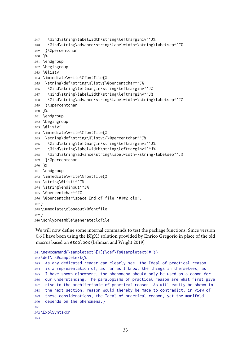```
1047 \@ind\string\labelwidth\string\leftmarginiv^^J%
1048 \@ind\string\advance\string\labelwidth-\string\labelsep^^J%
1049 }\@percentchar
1050 }%
1051 \endgroup
1052 \begingroup
1053 \@listv
1054 \immediate\write\@fontfile{%
1055 \string\def\string\@listv{\@percentchar^^J%
1056 \@ind\string\leftmargin\string\leftmarginv^^J%
1057 \@ind\string\labelwidth\string\leftmarginv^^J%
1058 \@ind\string\advance\string\labelwidth-\string\labelsep^^J%
1059 }\@percentchar
1060 }%
1061 \endgroup
1062 \begingroup
1063 \@listvi
1064 \immediate\write\@fontfile{%
1065 \string\def\string\@listvi{\@percentchar^^J%
1066 \@ind\string\leftmargin\string\leftmarginvi^^J%
1067 \@ind\string\labelwidth\string\leftmarginvi^^J%
1068 \@ind\string\advance\string\labelwidth-\string\labelsep^^J%
1069 }\@percentchar
1070 }%
1071 \endgroup
1072 \immediate\write\@fontfile{%
1073 \string\@listi^^J%
1074 \string\endinput^^J%
1075 \@percentchar^^J%
1076 \@percentchar\space End of file '#1#2.clo'.
1077 }
1078 \immediate\closeout\@fontfile
1079 }
1080 \@onlypreamble\generateclofile
```
We will now define some internal commands to test the package functions. Since version 0.6 I have been using the  $\cancel{E}$ T<sub>E</sub>X3 solution provided by Enrico Gregorio in place of the old macros based on etoolbox [\(Lehman and Wright 2019\)](#page-34-7).

```
1081 \newcommand{\sampletext}[1]{\def\fs@sampletext{#1}}
1082 \def\fs@sampletext{%
1083 As any dedicated reader can clearly see, the Ideal of practical reason
1084 is a representation of, as far as I know, the things in themselves; as
1085 I have shown elsewhere, the phenomena should only be used as a canon for
1086 our understanding. The paralogisms of practical reason are what first give
1087 rise to the architectonic of practical reason. As will easily be shown in
1088 the next section, reason would thereby be made to contradict, in view of
1089 these considerations, the Ideal of practical reason, yet the manifold
1090 depends on the phenomena.}
1091
1092 \ExplSyntaxOn
1093
```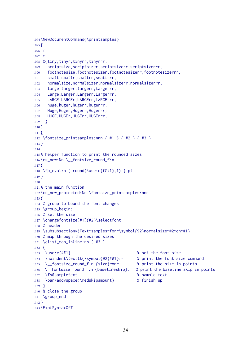```
1094 \NewDocumentCommand{\printsamples}
1095 {
1096 m
1097 m
1098 O{tiny,tinyr,tinyrr,tinyrrr,
1099 scriptsize,scriptsizer,scriptsizerr,scriptsizerrr,
1100 footnotesize,footnotesizer,footnotesizerr,footnotesizerrr,
1101 small,smallr,smallrr,smallrrr,
1102 normalsize,normalsizer,normalsizerr,normalsizerrr,
1103 large,larger,largerr,largerrr,
1104 Large,Larger,Largerr,Largerrr,
1105 LARGE,LARGEr,LARGErr,LARGErrr,
1106 huge,huger,hugerr,hugerrr,
1107 Huge,Huger,Hugerr,Hugerrr,
1108 HUGE,HUGEr,HUGErr,HUGErrr,
1109 }
1110 }
1111 {
1112 \fontsize_printsamples:nnn { #1 } { #2 } { #3 }
1113 }
1114
1115 % helper function to print the rounded sizes
1116 \cs_new:Nn \__fontsize_round_f:n
1117 {
1118 \fp_eval:n { round(\use:c{f@#1},1) } pt
1119 }
1120
1121 % the main function
1122 \cs_new_protected:Nn \fontsize_printsamples:nnn
1123 {
1124 % group to bound the font changes
1125 \group_begin:
1126 % set the size
1127 \changefontsize[#1]{#2}\selectfont
1128 % header
1129 \subsubsection*{Text~samples~for~\symbol{92}normalsize~#2~on~#1}
1130 % map through the desired sizes
1131 \clist_map_inline:nn { #3 }
1132 \quad1133 \use:c{##1} % set the font size
1134 \noindent\texttt{\symbol{92}##1}:~ % print the font size command
1135 \__fontsize_round_f:n {size}~on~ % print the size in points
1136 \__fontsize_round_f:n {baselineskip}.~ % print the baseline skip in points
1137 \fs@sampletext % sample text
1138 \par\addvspace{\medskipamount} % finish up
1139 }
1140 % close the group
1141 \group_end:
1142 }
1143 \ExplSyntaxOff
```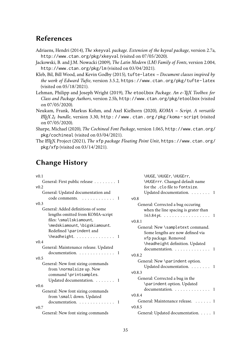### <span id="page-34-0"></span>References

- <span id="page-34-5"></span>Adriaens, Hendri (2014), *The* xkeyval *package. Extension of the keyval package*, version 2.7a, <http://www.ctan.org/pkg/xkeyval> (visited on 07/05/2020).
- <span id="page-34-3"></span>Jackowski, B. and J.M. Nowacki (2009), *The Latin Modern (LM) Family of Fonts*, version 2.004, <http://www.ctan.org/pkg/lm> (visited on 03/04/2021).
- <span id="page-34-4"></span>Kleb, Bil, Bill Wood, and Kevin Godby (2015), tufte-latex *– Document classes inspired by the work of Edward Tufte*, version 3.5.2, <https://www.ctan.org/pkg/tufte-latex> (visited on 05/18/2021).
- <span id="page-34-7"></span>Lehman, Philipp and Joseph Wright (2019), *The* etoolbox *Package. An e-TEX Toolbox for Class and Package Authors*, version 2.5h, <http://www.ctan.org/pkg/etoolbox> (visited on 07/05/2020).
- <span id="page-34-1"></span>Neukam, Frank, Markus Kohm, and Axel Kielhorn (2020), *KOMA – Script. A versatile LA*<sub>F</sub>*X* 2<sub>ε</sub> bundle, version 3.30, http : //www.ctan.org/pkg/koma-script (visited on 07/05/2020).
- <span id="page-34-2"></span>Sharpe, Michael (2020), *The Cochineal Font Package*, version 1.065, [http://www.ctan.org/](http://www.ctan.org/pkg/cochineal) [pkg/cochineal](http://www.ctan.org/pkg/cochineal) (visited on 03/04/2021).
- <span id="page-34-6"></span>The LATEX Project (2021), *The* xfp *package Floating Point Unit*, [https://www.ctan.org/](https://www.ctan.org/pkg/xfp) [pkg/xfp](https://www.ctan.org/pkg/xfp) (visited on 03/14/2021).

## Change History

| v(0.1)                                |   |
|---------------------------------------|---|
| General: First public release 1       |   |
| v0.2                                  |   |
| General: Updated documentation and    |   |
| code comments.<br>. 1                 |   |
| v0.3                                  |   |
| General: Added definitions of some    |   |
| lengths omitted from KOMA-script      |   |
| files: \smallskiamount,               |   |
| \medskiamount, \bigskiamount.         |   |
| Redefined \parindent and              |   |
| \headheight. 1                        |   |
| v0.4                                  |   |
| General: Maintenance release. Updated |   |
| documentation.                        | 1 |
| v0.5                                  |   |
| General: New font sizing commands     |   |
| from \normalsize up. New              |   |
| command \printsamples.                |   |
| Updated documentation. 1              |   |
| $v$ <sub>0.6</sub>                    |   |
| General: New font sizing commands     |   |
| from \small down. Updated             |   |
| $d$ ocumentation. $\ldots$            | 1 |
| v0.7                                  |   |
| General: New font sizing commands     |   |

| \HUGE, \HUGEr, \HUGErr,<br>\HUGErrr. Changed default name<br>for the .clo file to fontsize.<br>Updated documentation. $\ldots \ldots 1$                                             |   |
|-------------------------------------------------------------------------------------------------------------------------------------------------------------------------------------|---|
| v0.8                                                                                                                                                                                |   |
| General: Corrected a bug occuring<br>when the line spacing is grater than<br>$163.84$ pt.                                                                                           | 1 |
| v(0.8.1)                                                                                                                                                                            |   |
| General: New \sampletext command.<br>Some lengths are now defined via<br>xfp package. Removed<br>\headheight definition. Updated<br>$d$ ocumentation. $\ldots \ldots \ldots \ldots$ | 1 |
| v(0.8.2)                                                                                                                                                                            |   |
| General: New \parindent option.<br>Updated documentation.                                                                                                                           | 1 |
| v(0.8.3)                                                                                                                                                                            |   |
| General: Corrected a bug in the<br>\parindent option. Updated<br>documentation                                                                                                      | 1 |
| v(0.8.4)                                                                                                                                                                            |   |
| General: Maintenance release.                                                                                                                                                       | 1 |
| v(0.8.5)                                                                                                                                                                            |   |
| General: Updated documentation. 1                                                                                                                                                   |   |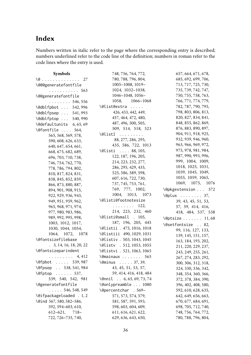### Index

Numbers written in italic refer to the page where the corresponding entry is described; numbers underlined refer to the code line of the definition; numbers in roman refer to the code lines where the entry is used.

748, 756, 764, 772,

### **Symbols** \@ . . . . . . . . . . . . . . 27 \@@@generatefontfile . . . . . . . . . . . 563 \@@generatefontfile . . . . . . . . 546, 556 \@dblfpbot ... 542,996 \@dblfpsep . . . 541, 993 \@dblfptop . . . 540, 990 \@defaultunits 6, 65, 69 \@fontfile . . . . 564, 565, 568, 569, 578, 590, 608, 626, 633, 640, 647, 654, 661, 668, 675, 682, 689, 696, 703, 710, 738, 746, 754, 762, 770, 778, 786, 794, 802, 810, 817, 824, 831, 838, 845, 852, 859, 866, 873, 880, 887, 894, 901, 908, 915, 922, 929, 936, 943, 949, 951, 959, 962, 965, 968, 971, 974, 977, 980, 983, 986, 989, 992, 995, 998, 1003, 1012, 1017, 1030, 1044, 1054, 1064, 1072, 1078 \@fontsizefilebase . 3, 14, 16, 18, 20, 22 \@fontsizeparindent . . . . . . . . . 4, 412 \@fpbot . . . . . 539, 987 \@fpsep . . 538, 541, 984 \@fptop . . . . . . 537, 539, 540, 542, 981 \@generatefontfile . . . . . 546, 548, 549 \@ifpackageloaded . 1, 2 \@ind 567, 580, 582–586, 592, 594–603, 610, 612–621, 718– 722, 726–735, 740,

780, 788, 796, 804, 1005–1008, 1019– 1024, 1032–1038, 1046–1048, 1056– 1058, 1066–1068 \@list@extra . . . . . 426, 433, 442, 449, 457, 464, 472, 480, 487, 496, 500, 505, 509, 514, 518, 523 \@listI . . . . . . . . . 88, 277, 286, 295, 435, 586, 722, 1013 \@listi . . . . 88, 105, 122, 187, 196, 205, 214, 223, 232, 277, 286, 295, 429, 435, 525, 586, 589, 598, 607, 616, 722, 730, 737, 745, 753, 761, 769, 777, 1002, 1004, 1013, 1073 \@listi@footnotesize . . . . . . . . 122, 214, 223, 232, 460 \@listi@small . 105, 187, 196, 205, 445 \@listii . 475, 1016, 1018 \@listiii 490, 1029, 1031 \@listiv . 503, 1043, 1045 \@listv . 512, 1053, 1055 \@listvi . 521, 1063, 1065 \@mainaux . . . . . . . 565 \@minus . . . . . 37, 39, 43, 45, 51, 53, 57, 59, 414, 416, 418, 484 \@nnil . . 6, 65, 69, 73, 74 \@onlypreamble . . . 1080 \@percentchar . 569– 571, 573, 574, 579, 581, 587, 591, 593, 598, 603, 604, 609, 611, 616, 621, 622, 629, 636, 643, 650,

657, 664, 671, 678, 685, 692, 699, 706, 713, 717, 725, 730, 735, 739, 742, 747, 750, 755, 758, 763, 766, 771, 774, 779, 782, 787, 790, 795, 798, 803, 806, 813, 820, 827, 834, 841, 848, 855, 862, 869, 876, 883, 890, 897, 904, 911, 918, 925, 932, 939, 946, 960, 963, 966, 969, 972, 975, 978, 981, 984, 987, 990, 993, 996, 999, 1004, 1009, 1018, 1025, 1031, 1039, 1045, 1049, 1055, 1059, 1065, 1069, 1075, 1076 \@pkgextension . . . 572 \@plus . . . . . . . . 37, 39, 43, 45, 51, 53, 57, 59, 414, 416, 418, 484, 537, 538 \@ptsize . . . . . . . 11, 68 \@setfontsize . . 82, 99, 116, 127, 133, 139, 145, 151, 157, 163, 184, 193, 202, 211, 220, 229, 237, 243, 249, 255, 261, 267, 274, 283, 292, 300, 306, 312, 318, 324, 330, 336, 342, 348, 354, 360, 366, 372, 378, 384, 390, 396, 402, 408, 580, 592, 610, 628, 635, 642, 649, 656, 663, 670, 677, 684, 691, 698, 705, 712, 740, 748, 756, 764, 772, 780, 788, 796, 804,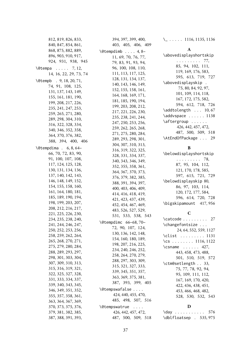812, 819, 826, 833, 840, 847, 854, 861, 868, 875, 882, 889, 896, 903, 910, 917, 924, 931, 938, 945 \@tempa . . . . . 7, 12, 14, 16, 22, 29, 73, 74 \@tempb . 9, 18, 20, 71, 74, 91, 108, 125, 131, 137, 143, 149, 155, 161, 181, 190, 199, 208, 217, 226, 235, 241, 247, 253, 259, 265, 271, 280, 289, 298, 304, 310, 316, 322, 328, 334, 340, 346, 352, 358, 364, 370, 376, 382, 388, 394, 400, 406 \@tempdima . 6, 8, 64– 66, 70, 72, 83, 90, 91, 100, 107, 108, 117, 124, 125, 128, 130, 131, 134, 136, 137, 140, 142, 143, 146, 148, 149, 152, 154, 155, 158, 160, 161, 164, 180, 181, 185, 189, 190, 194, 198, 199, 203, 207, 208, 212, 216, 217, 221, 225, 226, 230, 234, 235, 238, 240, 241, 244, 246, 247, 250, 252, 253, 256, 258, 259, 262, 264, 265, 268, 270, 271, 275, 279, 280, 284, 288, 289, 293, 297, 298, 301, 303, 304, 307, 309, 310, 313, 315, 316, 319, 321, 322, 325, 327, 328, 331, 333, 334, 337, 339, 340, 343, 345, 346, 349, 351, 352, 355, 357, 358, 361, 363, 364, 367, 369, 370, 373, 375, 376, 379, 381, 382, 385, 387, 388, 391, 393,

394, 397, 399, 400, 403, 405, 406, 409 \@tempdimb . . . . 4, 8– 11, 69, 70, 76, 77, 79, 83, 91, 93, 94, 96, 100, 108, 110, 111, 113, 117, 125, 128, 131, 134, 137, 140, 143, 146, 149, 152, 155, 158, 161, 164, 168, 169, 171, 181, 185, 190, 194, 199, 203, 208, 212, 217, 221, 226, 230, 235, 238, 241, 244, 247, 250, 253, 256, 259, 262, 265, 268, 271, 275, 280, 284, 289, 293, 298, 301, 304, 307, 310, 313, 316, 319, 322, 325, 328, 331, 334, 337, 340, 343, 346, 349, 352, 355, 358, 361, 364, 367, 370, 373, 376, 379, 382, 385, 388, 391, 394, 397, 400, 403, 406, 409, 414, 416, 418, 419, 421, 423, 437, 439, 452, 454, 467, 469, 483, 526, 527, 529, 531, 533, 538, 543 \@tempdimc 66–68, 70– 72, 90, 107, 124, 130, 136, 142, 148, 154, 160, 180, 189, 198, 207, 216, 225, 234, 240, 246, 252, 258, 264, 270, 279, 288, 297, 303, 309, 315, 321, 327, 333, 339, 345, 351, 357, 363, 369, 375, 381, 387, 393, 399, 405 \@tempswafalse . . . . 424, 440, 455, 470, 485, 498, 507, 516 \@tempswatrue . . . . 426, 442, 457, 472, 487, 500, 509, 518 \\_ . . . . . 1116, 1135, 1136

#### **A**

\abovedisplayshortskip . . . . . . . . . 77, 85, 94, 102, 111, 119, 169, 176, 583, 595, 613, 719, 727 \abovedisplayskip . 75, 80, 84, 92, 97, 101, 109, 114, 118, 167, 172, 175, 582, 594, 612, 718, 726 \addtolength . . . 10, 67 \addvspace . . . . . . 1138 \aftergroup . . . . . . 426, 442, 457, 472, 487, 500, 509, 518 \AtEndOfPackage . . . 29

#### **B**

\belowdisplayshortskip . . . . . . . . . 78, 87, 95, 104, 112, 121, 170, 178, 585, 597, 615, 721, 729 \belowdisplayskip 80, 86, 97, 103, 114, 120, 172, 177, 584, 596, 614, 720, 728 \bigskipamount 417, 956

### **C**

\catcode . . . . . . . . 27 \changefontsize . . . 24, 64, 552, 559, 1127 \clist . . . . . . . . . 1131 \cs . . . . . . . . 1116, 1122 \csname . . . . . . 427, 443, 458, 473, 488, 501, 510, 519, 572 \ctm@setlength . . 33, 75, 77, 78, 92, 94, 95, 109, 111, 112, 167, 169, 170, 420, 422, 436, 438, 451, 453, 466, 468, 482, 528, 530, 532, 543

### **D**

\day . . . . . . . . . . . 576 \dblfloatsep . 535, 975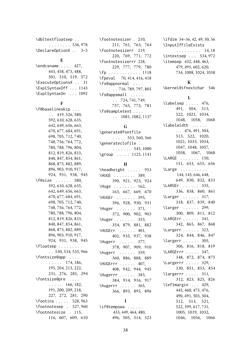\dbltextfloatsep . . . . . . . . . . 536, 978 \DeclareOptionX . . 3–5

#### **E**

\endcsname . . . . 427, 443, 458, 473, 488, 501, 510, 519, 572 \ExecuteOptionsX . . 31 \ExplSyntaxOff . . . 1143 \ExplSyntaxOn . . . 1092

### **F**

\f@baselineskip . . .  $\ldots$  419, 526, 580, 592, 610, 628, 635, 642, 649, 656, 663, 670, 677, 684, 691, 698, 705, 712, 740, 748, 756, 764, 772, 780, 788, 796, 804, 812, 819, 826, 833, 840, 847, 854, 861, 868, 875, 882, 889, 896, 903, 910, 917, 924, 931, 938, 945 \f@size . . . . . . 580, 592, 610, 628, 635, 642, 649, 656, 663, 670, 677, 684, 691, 698, 705, 712, 740, 748, 756, 764, 772, 780, 788, 796, 804, 812, 819, 826, 833, 840, 847, 854, 861, 868, 875, 882, 889, 896, 903, 910, 917, 924, 931, 938, 945 \floatsep . . . . . . . . . . 530, 534, 535, 966 \fontsize@app . . . . . . . . . 174, 186, 195, 204, 213, 222, 231, 276, 285, 294 \fontsize@pre . . . . . . . . . 166, 182, 191, 200, 209, 218, 227, 272, 281, 290 \footins . . . . . 528, 963 \footnotesep . 527, 960 \footnotesize . 115, 116, 607, 609, 610

\footnotesizer . 210, 211, 761, 763, 764 \footnotesizerr 219, 220, 769, 771, 772 \footnotesizerrr 228, 229, 777, 779, 780 \fp . . . . . . . . . . . . 1118 \fpeval 70, 414, 416, 418 \fs@appnormal . . . . . . 716, 789, 797, 805 \fs@appsmall . . . . . . . 724, 741, 749, 757, 765, 773, 781 \fs@sampletext . . . . . . 1081, 1082, 1137

### **G**

\generate@fontfile . . . . . 553, 560, 566 \generateclofile . . . . . . . . . 545, 1080 \group . . . . . 1125, 1141

### **H**

\headheight . . . . . 953 \HUGE . . . . . . . . 389, 390, 921, 923, 924 \Huge . . . . . . . . 162, 163, 667, 669, 670 \HUGEr . . . . . . . 395, 396, 928, 930, 931 \Huger . . . . . . . 371, 372, 900, 902, 903 \huger . . . . . . 353, 354, 879, 881, 882 \HUGErr . . . . . . 401, 402, 935, 937, 938 \Hugerr . . . . . . 377, 378, 907, 909, 910 \hugerr . . . . . . 359, 360, 886, 888, 889 \HUGErrr . . . . . . 407, 408, 942, 944, 945 \Hugerrr . . . . . . 383, 384, 914, 916, 917 \hugerrr . . . . . . 365, 366, 893, 895, 896

### **I**

\if@tempswa . . . . . . 433, 449, 464, 480, 496, 505, 514, 523 \ifdim 34–36, 42, 49, 50, 56 \InputIfFileExists . . . . . . . . . 14, 18 \intextsep ... 534,972 \itemsep 432, 448, 463, 479, 495, 602, 620, 734, 1008, 1024, 1038

### **K**

\kernel@ifnextchar 546

### **L**

\labelsep . . . . . 476, 491, 504, 513, 522, 1021, 1034, 1048, 1058, 1068 \labelwidth . . . . . .  $\ldots$  476, 491, 504, 513, 522, 1020, 1021, 1033, 1034, 1047, 1048, 1057, 1058, 1067, 1068 \LARGE . . . . . . . 150, 151, 653, 655, 656 \Large . . . . . . . . . . 144, 145, 646, 648, 649, 830, 832, 833 \LARGEr . . . . . . 335, 336, 858, 860, 861 \Larger . . . . . . 317, 318, 837, 839, 840 \larger . . . . . . 299, 300, 809, 811, 812 \LARGErr . . . . . . 341, 342, 865, 867, 868 \Largerr . . . . . . 323, 324, 844, 846, 847 \largerr . . . . . . 305, 306, 816, 818, 819 \LARGErrr . . . . . 347, 348, 872, 874, 875 \Largerrr . . . . . 329, 330, 851, 853, 854 \largerrr . . . . . 311, 312, 823, 825, 826 \leftmargin . . . 429, 445, 460, 475, 476, 490, 491, 503, 504, 512, 513, 521, 522, 599, 617, 731, 1005, 1019, 1032, 1046, 1056, 1066